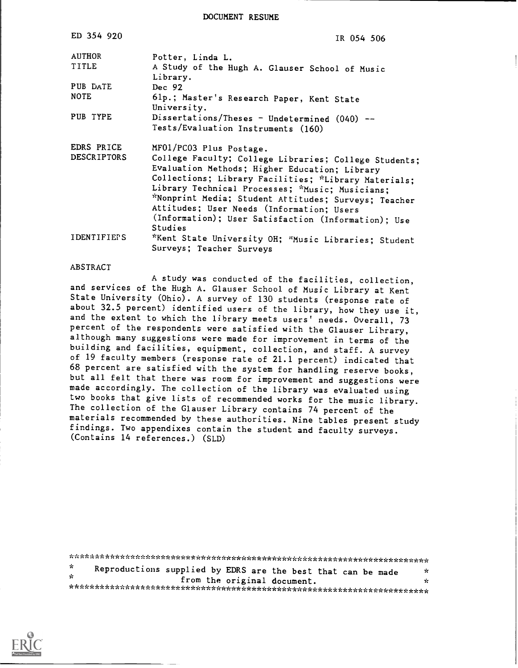DOCUMENT RESUME

| ED 354 920                       | IR 054 506                                                                                                                                                                                                                                                                                                                                                                                                          |
|----------------------------------|---------------------------------------------------------------------------------------------------------------------------------------------------------------------------------------------------------------------------------------------------------------------------------------------------------------------------------------------------------------------------------------------------------------------|
| <b>AUTHOR</b><br>TITLE           | Potter, Linda L.<br>A Study of the Hugh A. Glauser School of Music<br>Library.                                                                                                                                                                                                                                                                                                                                      |
| PUB DATE<br><b>NOTE</b>          | Dec $92$                                                                                                                                                                                                                                                                                                                                                                                                            |
|                                  | 61p.; Master's Research Paper, Kent State<br>University.                                                                                                                                                                                                                                                                                                                                                            |
| PUB TYPE                         | Dissertations/Theses - Undetermined $(040)$ --<br>Tests/Evaluation Instruments (160)                                                                                                                                                                                                                                                                                                                                |
| EDRS PRICE<br><b>DESCRIPTORS</b> | MF01/PC03 Plus Postage.<br>College Faculty; College Libraries; College Students;<br>Evaluation Methods; Higher Education; Library<br>Collections; Library Facilities; *Library Materials;<br>Library Technical Processes; *Music; Musicians;<br>*Nonprint Media; Student Attitudes; Surveys; Teacher<br>Attitudes; User Needs (Information; Users<br>(Information); User Satisfaction (Information); Use<br>Studies |
| IDENTIFIEPS                      | *Kent State University OH; *Music Libraries; Student<br>Surveys; Teacher Surveys                                                                                                                                                                                                                                                                                                                                    |

#### ABSTRACT

A study was conducted of the facilities, collection, and services of the Hugh A. Glauser School of Music Library at Kent State University (Ohio). A survey of 130 students (response rate of about 32.5 percent) identified users of the library, how they use it, and the extent to which the library meets users' needs. Overall, 73 percent of the respondents were satisfied with the Glauser Library, although many suggestions were made for improvement in terms of the building and facilities, equipment, collection, and staff. A survey of 19 faculty members (response rate of 21.1 percent) indicated that 68 percent are satisfied with the system for handling reserve books, but all felt that there was room for improvement and suggestions were made accordingly. The collection of the library was evaluated using two books that give lists of recommended works for the music library. The collection of the Glauser Library contains 74 percent of the materials recommended by these authorities. Nine tables present study findings. Two appendixes contain the student and faculty surveys. (Contains 14 references.) (SLD)

| - Sc<br>Reproductions supplied by EDRS are the best that can be made<br>УC.<br><b>SP</b><br>from the original document.<br>n. |  |  |
|-------------------------------------------------------------------------------------------------------------------------------|--|--|
|                                                                                                                               |  |  |
|                                                                                                                               |  |  |
|                                                                                                                               |  |  |

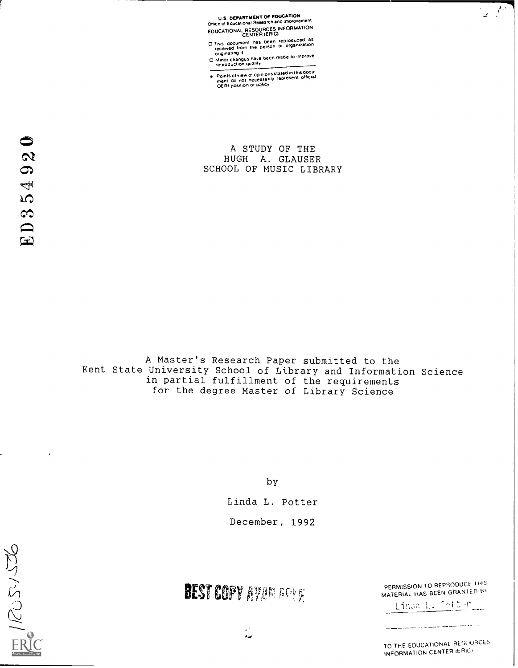U.S. DEPARTMENT OF EDUCATION<br>Office of Educational Research and Improvement EDUCATIONAL RESOURCES INFORMATION<br>CENTER (ERIC)

- <sup>O</sup> CENTEER This document has been reproduced as received Irom the person or organization originating it
- of Minor changes have been made to improve<br>
reproduction quality

Points of view or opinions stated in this docu<del>.</del><br>ment: do: not: necessarily: represent: official<br>OERI position or p3IiCy

A STUDY OF THE HUGH A. GLAUSER SCHOOL OF MUSIC LIBRARY

A Master's Research Paper submitted to the Kent State University School of Library and Information Science in partial fulfillment of the requirements for the degree Master of Library Science

by

Linda L. Potter December, 1992



# BEST COPY AVAN ARME

 $\mathcal{L}^{\mathcal{A}}$ 

a-.

PERMISSION TO REPRODUCE 1HIS MATERIAL HAS BEEN GRANTED B

Linda L. <u>Setter</u>

الأسماء والمساري سيست والمستن

TO THE EDUCATIONAL RESOURCES INFORMATION CENTER (ERIC)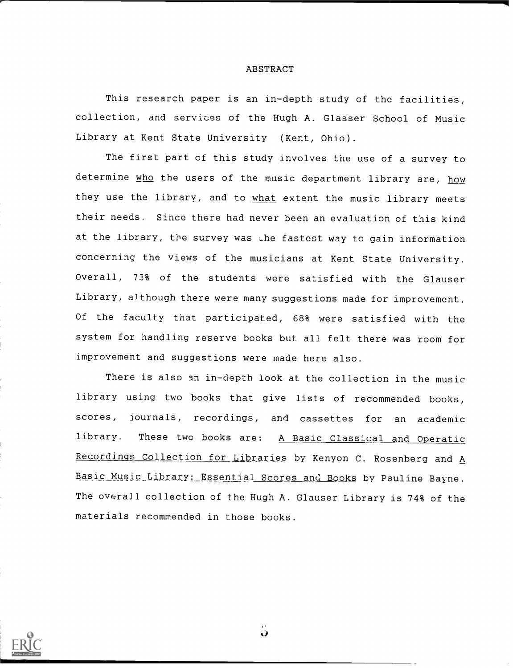#### ABSTRACT

This research paper is an in-depth study of the facilities, collection, and services of the Hugh A. Glasser School of Music Library at Kent State University (Kent, Ohio).

The first part of this study involves the use of a survey to determine who the users of the music department library are, how they use the library, and to what extent the music library meets their needs. Since there had never been an evaluation of this kind at the library, the survey was the fastest way to gain information concerning the views of the musicians at Kent State University. Overall, 73% of the students were satisfied with the Glauser Library, although there were many suggestions made for improvement. Of the faculty that participated, 68% were satisfied with the system for handling reserve books but all felt there was room for improvement and suggestions were made here also.

There is also an in-depth look at the collection in the music library using two books that give lists of recommended books, scores, journals, recordings, and cassettes for an academic library. These two books are: A Basic Classical and Operatic Recordings Collection for Libraries by Kenyon C. Rosenberg and A Basic Music Library: Essential Scores and Books by Pauline Bayne. The overall collection of the Hugh A. Glauser Library is 74% of the materials recommended in those books.

Ù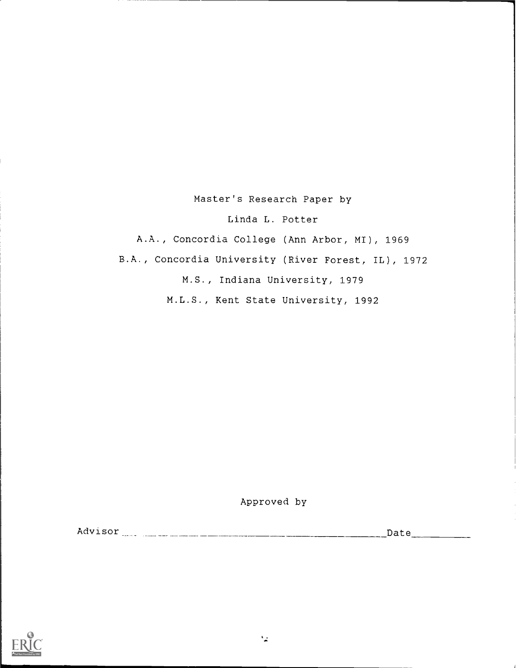## Master's Research Paper by

Linda L. Potter

A.A., Concordia College (Ann Arbor, MI), 1969 B.A., Concordia University (River Forest, IL), 1972 M.S., Indiana University, 1979 M.L.S., Kent State University, 1992

Approved by

Advisor Date

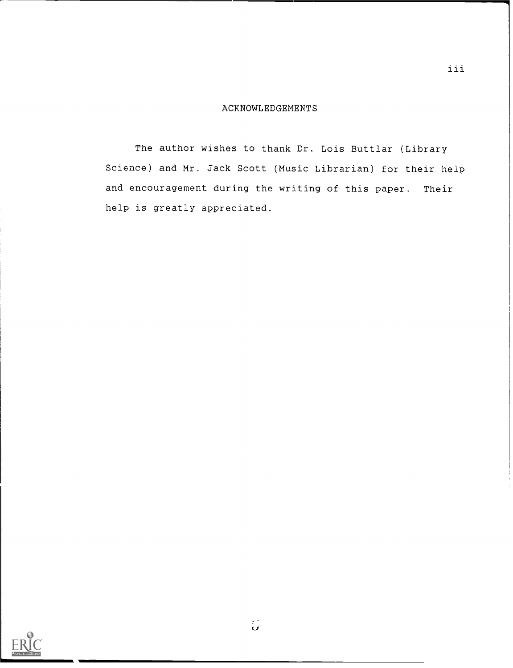#### ACKNOWLEDGEMENTS

The author wishes to thank Dr. Lois Buttlar (Library Science) and Mr. Jack Scott (Music Librarian) for their help and encouragement during the writing of this paper. Their help is greatly appreciated.



ु

iii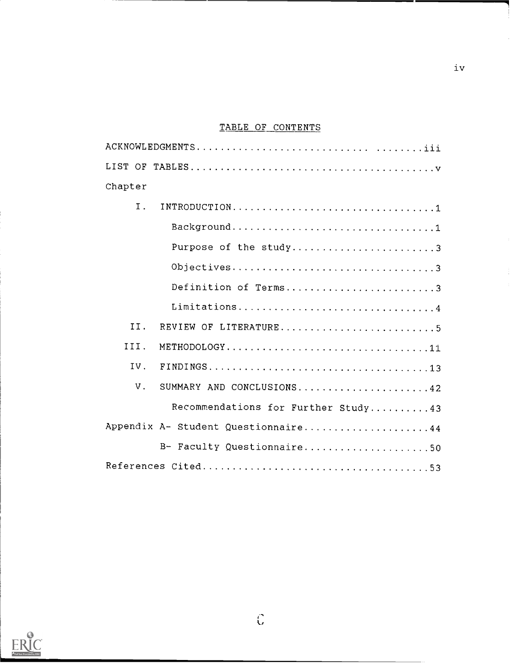# TABLE OF CONTENTS

| Chapter     |                                     |
|-------------|-------------------------------------|
| I.          |                                     |
|             |                                     |
|             | Purpose of the study3               |
|             | Objectives3                         |
|             | Definition of Terms3                |
|             | Limitations4                        |
| II.         | REVIEW OF LITERATURE5               |
| III.        | METHODOLOGY11                       |
| IV.         |                                     |
| $V_{\odot}$ | SUMMARY AND CONCLUSIONS42           |
|             | Recommendations for Further Study43 |
|             | Appendix A- Student Questionnaire44 |
|             | B- Faculty Questionnaire50          |
|             |                                     |



 $\hat{\mathbb{C}}$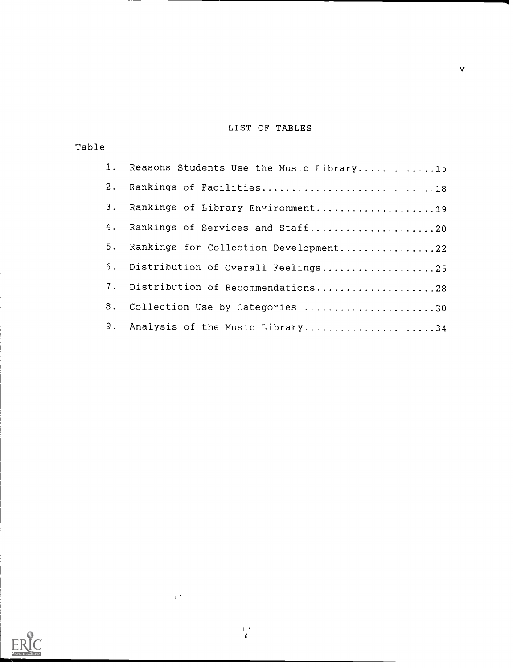## LIST OF TABLES

| Table          |                                          |
|----------------|------------------------------------------|
| $1 \cdot$      | Reasons Students Use the Music Library15 |
| 2.             | Rankings of Facilities18                 |
| 3 <sub>1</sub> | Rankings of Library Environment19        |
| 4.             | Rankings of Services and Staff20         |
| 5.             | Rankings for Collection Development22    |
|                | 6. Distribution of Overall Feelings25    |
| 7.             | Distribution of Recommendations28        |
| 8.             | Collection Use by Categories30           |
| 9.             | Analysis of the Music Library34          |



 $\frac{1}{2}$ 

 $\sim$ 

 $\hat{\mathbf{v}}$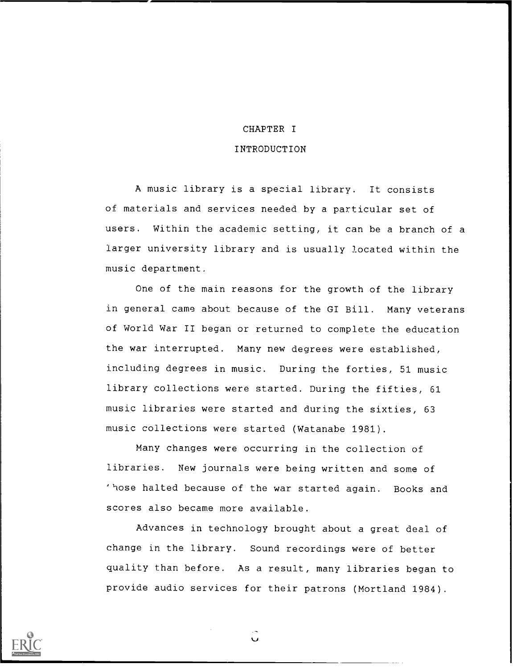#### CHAPTER I

1

#### INTRODUCTION

A music library is a special library. It consists of materials and services needed by a particular set of users. Within the academic setting, it can be a branch of a larger university library and is usually located within the music department.

One of the main reasons for the growth of the library in general came about because of the GI Bill. Many veterans of World War II began or returned to complete the education the war interrupted. Many new degrees were established, including degrees in music. During the forties, 51 music library collections were started. During the fifties, 61 music libraries were started and during the sixties, 63 music collections were started (Watanabe 1981).

Many changes were occurring in the collection of libraries. New journals were being written and some of 'hose halted because of the war started again. Books and scores also became more available.

Advances in technology brought about a great deal of change in the library. Sound recordings were of better quality than before. As a result, many libraries began to provide audio services for their patrons (Mortland 1984).

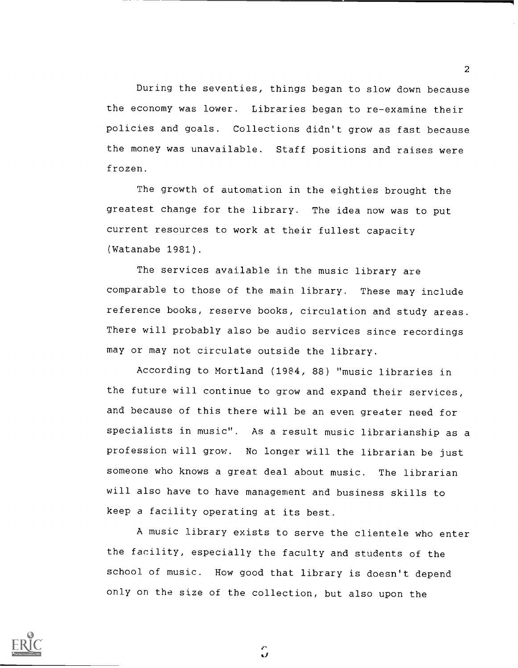During the seventies, things began to slow down because the economy was lower. Libraries began to re-examine their policies and goals. Collections didn't grow as fast because the money was unavailable. Staff positions and raises were frozen.

The growth of automation in the eighties brought the greatest change for the library. The idea now was to put current resources to work at their fullest capacity (Watanabe 1981).

The services available in the music library are comparable to those of the main library. These may include reference books, reserve books, circulation and study areas. There will probably also be audio services since recordings may or may not circulate outside the library.

According to Mortland (1984, 88) "music libraries in the future will continue to grow and expand their services, and because of this there will be an even greater need for specialists in music". As a result music librarianship as a profession will grow. No longer will the librarian be just someone who knows a great deal about music. The librarian will also have to have management and business skills to keep a facility operating at its best.

A music library exists to serve the clientele who enter the facility, especially the faculty and students of the school of music. How good that library is doesn't depend only on the size of the collection, but also upon the



2

J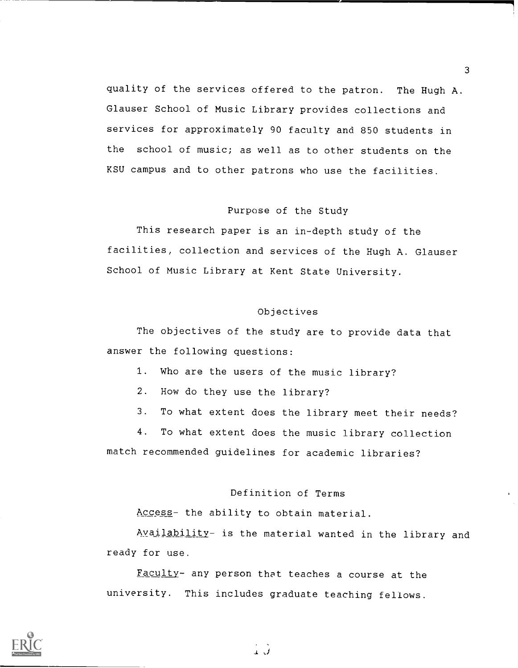quality of the services offered to the patron. The Hugh A. Glauser School of Music Library provides collections and services for approximately 90 faculty and 850 students in the school of music; as well as to other students on the KSU campus and to other patrons who use the facilities.

### Purpose of the Study

This research paper is an in-depth study of the facilities, collection and services of the Hugh A. Glauser School of Music Library at Kent State University.

#### Objectives

The objectives of the study are to provide data that answer the following questions:

1. Who are the users of the music library?

2. How do they use the library?

3. To what extent does the library meet their needs?

4. To what extent does the music library collection match recommended guidelines for academic libraries?

#### Definition of Terms

Access- the ability to obtain material.

Availability- is the material wanted in the library and ready for use.

Faculty- any person that teaches a course at the university. This includes graduate teaching fellows.



 $\mathbf{1}$   $\mathbf{J}$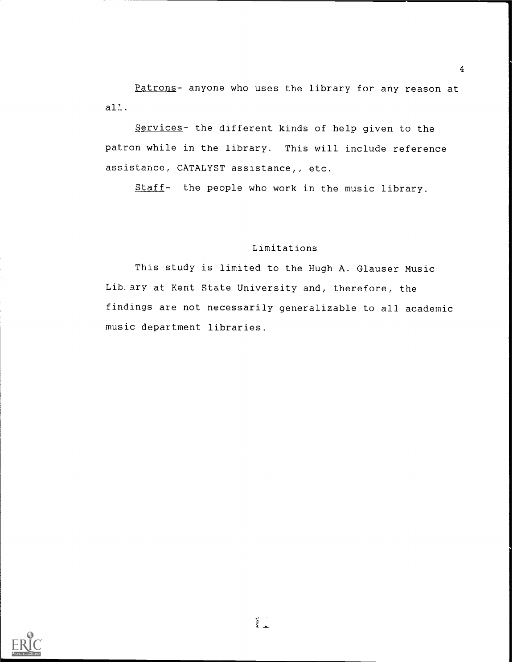Patrons- anyone who uses the library for any reason at  $all.$ 

Services- the different kinds of help given to the patron while in the library. This will include reference assistance, CATALYST assistance,  $i$  etc.

Staff- the people who work in the music library.

#### Limitations

This study is limited to the Hugh A. Glauser Music Lib:ary at Kent State University and, therefore, the findings are not necessarily generalizable to all academic music department libraries.

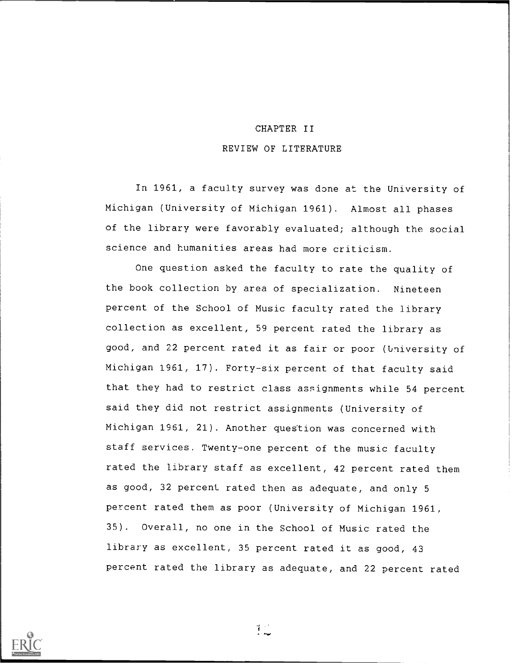# CHAPTER II REVIEW OF LITERATURE

In 1961, a faculty survey was done at the University of Michigan (University of Michigan 1961). Almost all phases of the library were favorably evaluated; although the social science and humanities areas had more criticism.

One question asked the faculty to rate the quality of the book collection by area of specialization. Nineteen percent of the School of Music faculty rated the library collection as excellent, 59 percent rated the library as good, and 22 percent rated it as fair or poor (University of Michigan 1961, 17). Forty-six percent of that faculty said that they had to restrict class assignments while 54 percent said they did not restrict assignments (University of Michigan 1961, 21). Another question was concerned with staff services. Twenty-one percent of the music faculty rated the library staff as excellent, 42 percent rated them as good, 32 percent rated then as adequate, and only 5 percent rated them as poor (University of Michigan 1961, 35). Overall, no one in the School of Music rated the library as excellent, 35 percent rated it as good, 43 percent rated the library as adequate, and 22 percent rated



生。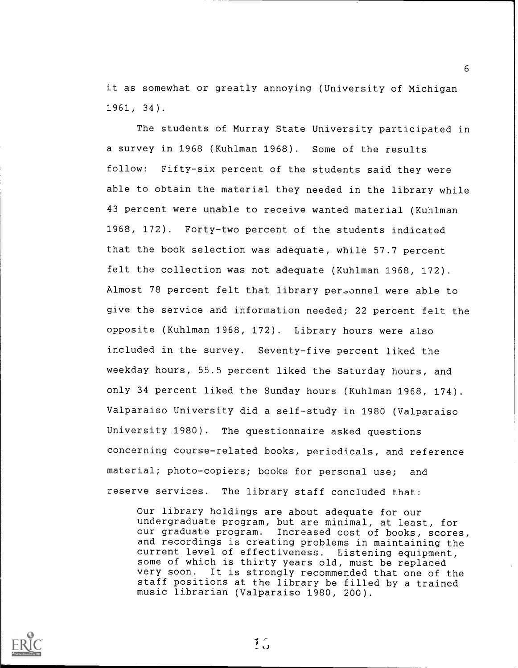it as somewhat or greatly annoying (University of Michigan 1961, 34).

The students of Murray State University participated in a survey in 1968 (Kuhlman 1968). Some of the results follow: Fifty-six percent of the students said they were able to obtain the material they needed in the library while 43 percent were unable to receive wanted material (Kuhlman 1968, 172). Forty-two percent of the students indicated that the book selection was adequate, while 57.7 percent felt the collection was not adequate (Kuhlman 1968, 172). Almost 78 percent felt that library per.onnel were able to give the service and information needed; 22 percent felt the opposite (Kuhlman 1968, 172). Library hours were also included in the survey. Seventy-five percent liked the weekday hours, 55.5 percent liked the Saturday hours, and only 34 percent liked the Sunday hours (Kuhlman 1968, 174). Valparaiso University did a self-study in 1980 (Valparaiso University 1980). The questionnaire asked questions concerning course-related books, periodicals, and reference material; photo-copiers; books for personal use; and reserve services. The library staff concluded that:

Our library holdings are about adequate for our undergraduate program, but are minimal, at least, for our graduate program. Increased cost of books, scores, and recordings is creating problems in maintaining the current level of effectiveness. Listening equipment, some of which is thirty years old, must be replaced very soon. It is strongly recommended that one of the staff positions at the library be filled by a trained music librarian (Valparaiso 1980, 200).



 $1\degree$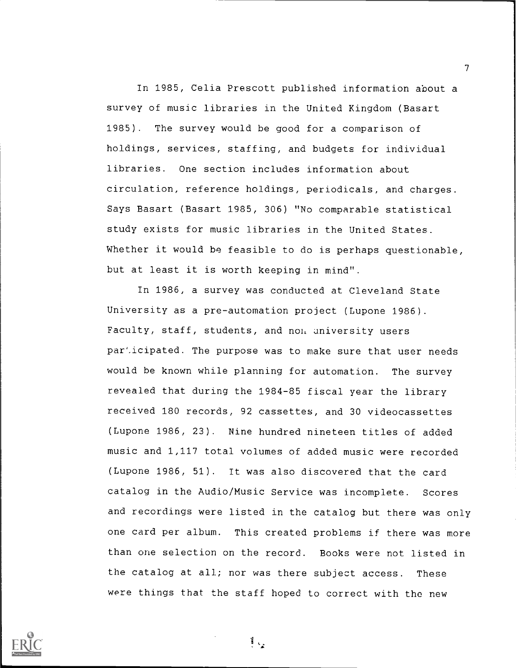In 1985, Celia Prescott published information about a survey of music libraries in the United Kingdom (Basart 1985). The survey would be good for a comparison of holdings, services, staffing, and budgets for individual libraries. One section includes information about circulation, reference holdings, periodicals, and charges. Says Basart (Basart 1985, 306) "No comparable statistical study exists for music libraries in the United States. Whether it would be feasible to do is perhaps questionable, but at least it is worth keeping in mind".

In 1986, a survey was conducted at Cleveland State University as a pre-automation project (Lupone 1986). Faculty, staff, students, and non university users par'.icipated. The purpose was to make sure that user needs would be known while planning for automation. The survey revealed that during the 1984-85 fiscal year the library received 180 records, 92 cassettes, and 30 videocassettes (Lupone 1986, 23). Nine hundred nineteen titles of added music and 1,117 total volumes of added music were recorded (Lupone 1986, 51). It was also discovered that the card catalog in the Audio/Music Service was incomplete. Scores and recordings were listed in the catalog but there was only one card per album. This created problems if there was more than one selection on the record. Books were not listed in the catalog at all; nor was there subject access. These were things that the staff hoped to correct with the new



 $\mathcal{T}$  and  $\mathcal{T}$ 

 $\frac{1}{2}$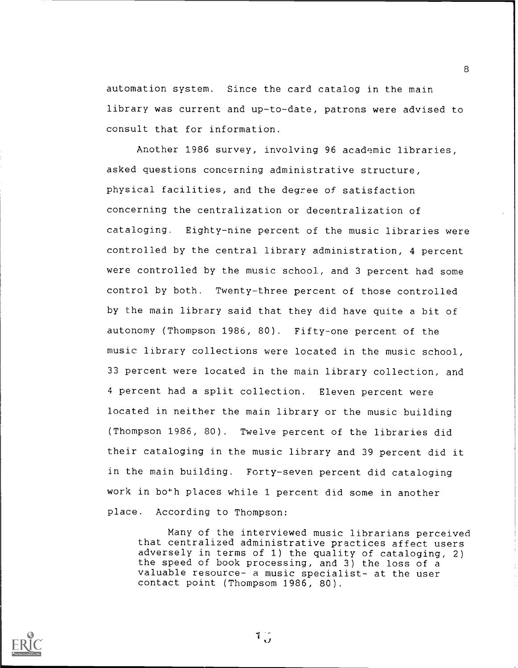automation system. Since the card catalog in the main library was current and up-to-date, patrons were advised to consult that for information.

Another 1986 survey, involving 96 academic libraries, asked questions concerning administrative structure, physical facilities, and the degree of satisfaction concerning the centralization or decentralization of cataloging. Eighty-nine percent of the music libraries were controlled by the central library administration, 4 percent were controlled by the music school, and 3 percent had some control by both. Twenty-three percent of those controlled by the main library said that they did have quite a bit of autonomy (Thompson 1986, 80). Fifty-one percent of the music library collections were located in the music school, 33 percent were located in the main library collection, and 4 percent had a split collection. Eleven percent were located in neither the main library or the music building (Thompson 1986, 80). Twelve percent of the libraries did their cataloging in the music library and 39 percent did it in the main building. Forty-seven percent did cataloging work in both places while 1 percent did some in another place. According to Thompson:

Many of the interviewed music librarians perceived that centralized administrative practices affect users adversely in terms of 1) the quality of cataloging, 2) the speed of book processing, and 3) the loss of a valuable resource- a music specialist- at the user contact point (Thompsom 1986, 80).



 $1\frac{1}{\sqrt{2}}$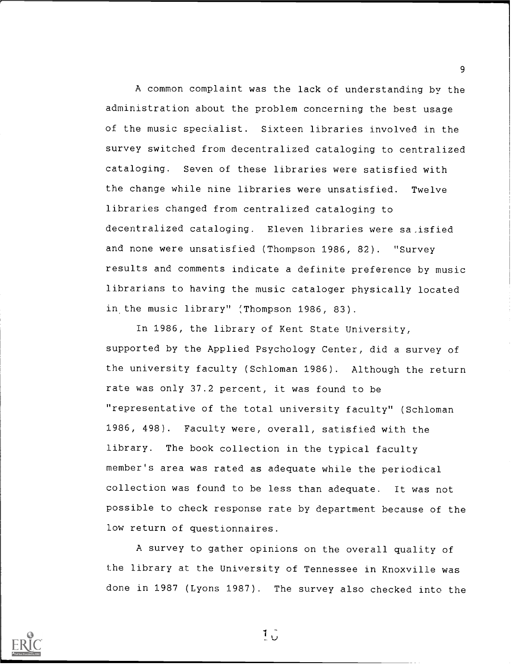A common complaint was the lack of understanding by the administration about the problem concerning the best usage of the music specialist. Sixteen libraries involved in the survey switched from decentralized cataloging to centralized cataloging. Seven of these libraries were satisfied with the change while nine libraries were unsatisfied. Twelve libraries changed from centralized cataloging to decentralized cataloging. Eleven libraries were sa.isfied and none were unsatisfied (Thompson 1986, 82). "Survey results and comments indicate a definite preference by music librarians to having the music cataloger physically located in the music library" (Thompson 1986, 83).

In 1986, the library of Kent State University, supported by the Applied Psychology Center, did a survey of the university faculty (Schloman 1986). Although the return rate was only 37.2 percent, it was found to be "representative of the total university faculty" (Schloman 1986, 498). Faculty were, overall, satisfied with the library. The book collection in the typical faculty member's area was rated as adequate while the periodical collection was found to be less than adequate. It was not possible to check response rate by department because of the low return of questionnaires.

A survey to gather opinions on the overall quality of the library at the University of Tennessee in Knoxville was done in 1987 (Lyons 1987). The survey also checked into the



 $1\frac{1}{1}$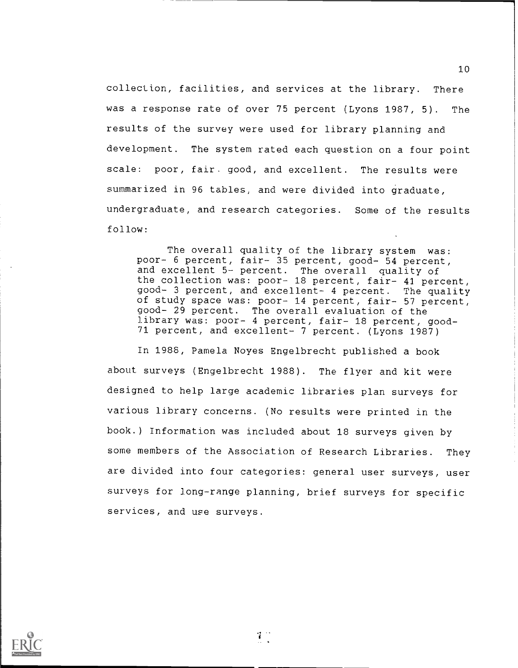collection, facilities, and services at the library. There was a response rate of over 75 percent (Lyons 1987, 5). The results of the survey were used for library planning and development. The system rated each question on a four point scale: poor, fair. good, and excellent. The results were summarized in 96 tables, and were divided into graduate, undergraduate, and research categories. Some of the results follow:

The overall quality of the library system was: poor- 6 percent, fair- 35 percent, good- 54 percent, and excellent 5- percent. The overall quality of the collection was: poor- 18 percent, fair- 41 percent, good- 3 percent, and excellent- 4 percent. The quality of study space was: poor- 14 percent, fair- 57 percent, good- 29 percent. The overall evaluation of the library was: poor- 4 percent, fair- 18 percent, good-71 percent, and excellent- 7 percent. (Lyons 1987)

In 1988, Pamela Noyes Engelbrecht published a book about surveys (Engelbrecht 1988). The flyer and kit were designed to help large academic libraries plan surveys for various library concerns. (No results were printed in the book.) Information was included about 18 surveys given by some members of the Association of Research Libraries. They are divided into four categories: general user surveys, user surveys for long-range planning, brief surveys for specific services, and use surveys.



 $1^{\circ}$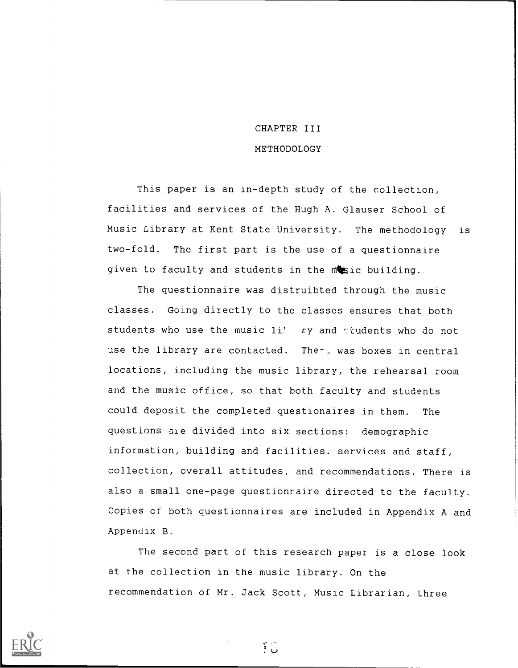# CHAPTER III METHODOLOGY

This paper is an in-depth study of the collection, facilities and services of the Hugh A. Glauser School of Music Library at Kent State University. The methodology is two-fold. The first part is the use of a questionnaire given to faculty and students in the mosic building.

The questionnaire was distruibted through the music classes. Going directly to the classes ensures that both students who use the music li! ry and ttudents who do not use the library are contacted. The - was boxes in central locations, including the music library, the rehearsal room and the music office, so that both faculty and students could deposit the completed questionaires in them. The questions ale divided into six sections: demographic information, building and facilities. services and staff, collection, overall attitudes, and recommendations. There is also a small one-page questionnaire directed to the faculty. Copies of both questionnaires are included in Appendix A and Appendix B.

The second part of this research paper is a close look at the collection in the music library. On the recommendation of Mr. Jack Scott, Music Librarian, three



ن ۽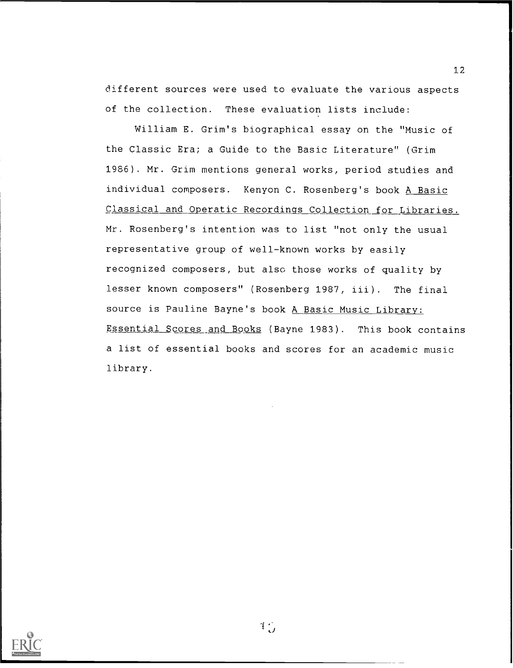different sources were used to evaluate the various aspects of the collection. These evaluation lists include:

William E. Grim's biographical essay on the "Music of the Classic Era; a Guide to the Basic Literature" (Grim 1986). Mr. Grim mentions general works, period studies and individual composers. Kenyon C. Rosenberg's book A Basic Classical and Operatic Recordings Collection for Libraries. Mr. Rosenberg's intention was to list "not only the usual representative group of well-known works by easily recognized composers, but also those works of quality by lesser known composers" (Rosenberg 1987, iii). The final source is Pauline Bayne's book A Basic Music Library: Essential Scores and Books (Bayne 1983). This book contains a list of essential books and scores for an academic music library.



 $1\frac{1}{2}$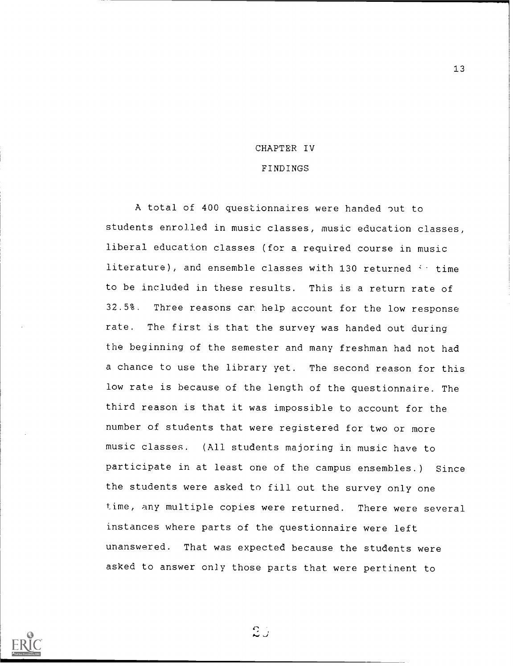# CHAPTER IV

#### FINDINGS

A total of 400 questionnaires were handed put to students enrolled in music classes, music education classes, liberal education classes (for a required course in music literature), and ensemble classes with 130 returned  $4 +$  time to be included in these results. This is a return rate of 32.5%. Three reasons can help account for the low response rate. The first is that the survey was handed out during the beginning of the semester and many freshman had not had a chance to use the library yet. The second reason for this low rate is because of the length of the questionnaire. The third reason is that it was impossible to account for the number of students that were registered for two or more music classes. (All students majoring in music have to participate in at least one of the campus ensembles.) Since the students were asked to fill out the survey only one time, any multiple copies were returned. There were several instances where parts of the questionnaire were left unanswered. That was expected because the students were asked to answer only those parts that were pertinent to



 $2j$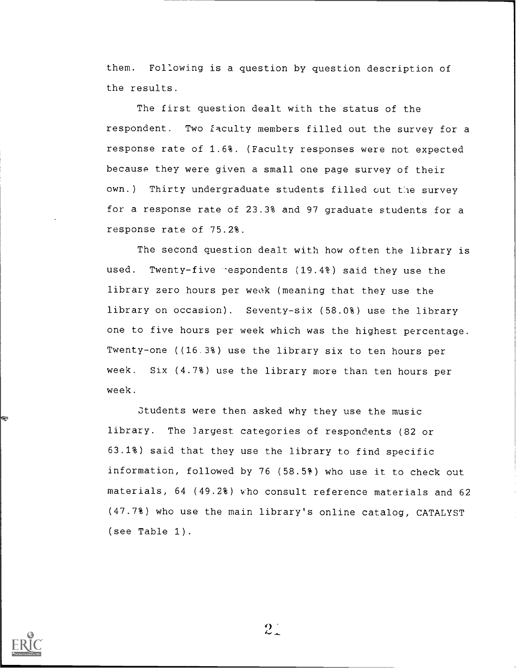them. Following is a question by question description of the results.

The first question dealt with the status of the respondent. Two faculty members filled out the survey for a response rate of 1.6%. (Faculty responses were not expected because they were given a small one page survey of their own.) Thirty undergraduate students filled out the survey for a response rate of 23.3% and 97 graduate students for a response rate of 75.2%.

The second question dealt with how often the library is used. Twenty-five -espondents (19.4%) said they use the library zero hours per week (meaning that they use the library on occasion). Seventy-six (58.0%) use the library one to five hours per week which was the highest percentage. Twenty-one ((16.3%) use the library six to ten hours per week. Six (4.7%) use the library more than ten hours per week.

students were then asked why they use the music library. The largest categories of respondents (82 or 63.1%) said that they use the library to find specific information, followed by 76 (58.5%) who use it to check out materials, 64 (49.2%) who consult reference materials and 62 (47.7%) who use the main library's online catalog, CATALYST (see Table 1).



 $2.1$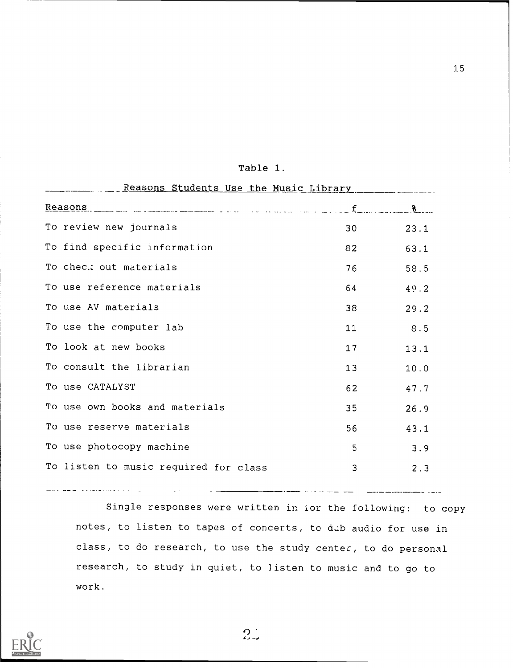| Reasons Students Use the Music Library |                 |      |
|----------------------------------------|-----------------|------|
| Reasons $\frac{1}{8}$                  |                 |      |
| To review new journals                 | 30              | 23.1 |
| To find specific information           | 82              | 63.1 |
| To check out materials                 | 76              | 58.5 |
| To use reference materials             | 64              | 49.2 |
| To use AV materials                    | 38              | 29.2 |
| To use the computer lab                | 11              | 8.5  |
| To look at new books                   | 17              | 13.1 |
| To consult the librarian               | 13 <sub>1</sub> | 10.0 |
| To use CATALYST                        | 62              | 47.7 |
| To use own books and materials         | 35 <sub>o</sub> | 26.9 |
| To use reserve materials               | 56              | 43.1 |
| To use photocopy machine               | 5               | 3.9  |
| To listen to music required for class  | 3               | 2.3  |
|                                        |                 |      |

## Table 1.

Single responses were written in ior the following: to copy notes, to listen to tapes of concerts, to dab audio for use in class, to do research, to use the study center, to do personal research, to study in quiet, to listen to music and to go to work.

 $\overline{\phantom{iiiiiiiiiiiii}}$ 

 $\frac{1}{2} \left( \frac{1}{2} \right) \left( \frac{1}{2} \right) \left( \frac{1}{2} \right) \left( \frac{1}{2} \right) \left( \frac{1}{2} \right) \left( \frac{1}{2} \right) \left( \frac{1}{2} \right) \left( \frac{1}{2} \right) \left( \frac{1}{2} \right) \left( \frac{1}{2} \right) \left( \frac{1}{2} \right) \left( \frac{1}{2} \right) \left( \frac{1}{2} \right) \left( \frac{1}{2} \right) \left( \frac{1}{2} \right) \left( \frac{1}{2} \right) \left( \frac$ 

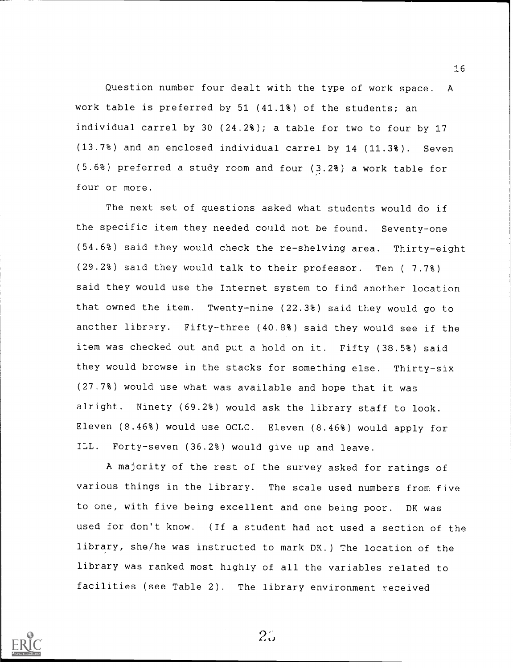Question number four dealt with the type of work space. A work table is preferred by 51 (41.1%) of the students; an individual carrel by 30 (24.2%); a table for two to four by 17 (13.7%) and an enclosed individual carrel by 14 (11.3%). Seven (5.6%) preferred a study room and four (3.2%) a work table for four or more.

16

The next set of questions asked what students would do if the specific item they needed could not be found. Seventy-one (54.6%) said they would check the re-shelving area. Thirty-eight (29.2%) said they would talk to their professor. Ten ( 7.7%) said they would use the Internet system to find another location that owned the item. Twenty-nine (22.3%) said they would go to another library. Fifty-three (40.8%) said they would see if the item was checked out and put a hold on it. Fifty (38.5%) said they would browse in the stacks for something else. Thirty-six (27.7%) would use what was available and hope that it was alright. Ninety (69.2%) would ask the library staff to look. Eleven (8.46%) would use OCLC. Eleven (8.46%) would apply for ILL. Forty-seven (36.2%) would give up and leave.

A majority of the rest of the survey asked for ratings of various things in the library. The scale used numbers from five to one, with five being excellent and one being poor. DK was used for don't know. (If a student had not used a section of the library, she/he was instructed to mark DK.) The location of the library was ranked most highly of all the variables related to facilities (see Table 2). The library environment received

 $2\ddot{\circ}$ 

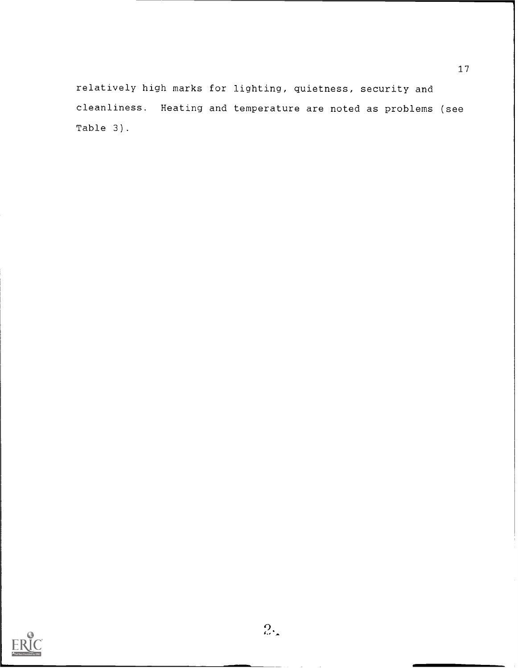relatively high marks for lighting, quietness, security and cleanliness. Heating and temperature are noted as problems (see Table 3).

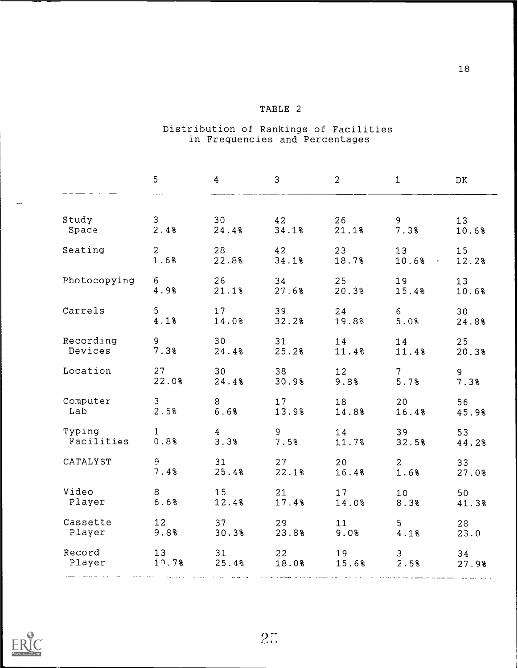## TABLE 2

#### Distribution of Rankings of Facilities in Frequencies and Percentages

|              | 5               | 4               | 3     | $\overline{c}$ | $\mathbf{1}$    | DK    |
|--------------|-----------------|-----------------|-------|----------------|-----------------|-------|
| Study        | $\mathbf{3}$    | 30 <sub>o</sub> | 42    | 26             | 9 <sup>1</sup>  | 13    |
| Space        | 2.4%            | 24.48           | 34.1% | 21.1%          | 7.3%            | 10.6% |
| Seating      | $\overline{2}$  | 28              | 42    | 23             | 13              | 15    |
|              | 1.6%            | 22.8%           | 34.18 | 18.7%          | 10.68           | 12.2% |
| Photocopying | 6               | 26              | 34    | 25             | 19              | 13    |
|              | 4.9%            | 21.1%           | 27.6% | 20.3%          | 15.48           | 10.6% |
| Carrels      | 5               | 17              | 39    | 24             | $6 -$           | 30    |
|              | 4.1%            | 14.0%           | 32.2% | 19.8%          | 5.0%            | 24.8% |
| Recording    | 9               | 30              | 31    | 14             | 14              | 25    |
| Devices      | 7.3%            | 24.48           | 25.2% | 11.4%          | 11.4%           | 20.38 |
| Location     | 27              | 30              | 38    | 12             | 7 <sup>7</sup>  | 9     |
|              | 22.0%           | 24.48           | 30.9% | 9.8%           | 5.7%            | 7.3%  |
| Computer     | 3 <sup>1</sup>  | 8               | 17    | 18             | 20              | 56    |
| Lab          | 2.5%            | 6.6%            | 13.9% | 14.8%          | 16.4%           | 45.9% |
| Typing       | $\mathbf{1}$    | $\overline{4}$  | 9     | 14             | 39              | 53    |
| Facilities   | 0.88            | 3.3%            | 7.5%  | 11.7%          | 32.5%           | 44.2% |
| CATALYST     | 9               | 31              | 27    | 20             | $2^{\circ}$     | 33    |
|              | 7.4%            | 25.48           | 22.1% | 16.4%          | 1.6%            | 27.0% |
| Video        | 8               | 15              | 21    | 17             | 10 <sub>1</sub> | 50    |
| Player       | 6.6%            | 12.4%           | 17.4% | 14.0%          | 8.3%            | 41.3% |
| Cassette     | 12 <sup>°</sup> | 37              | 29    | 11             | 5 <sub>1</sub>  | 28    |
| Player       | 9.8%            | 30.3%           | 23.8% | 9.0%           | 4.1%            | 23.0  |
| Record       | 13              | 31              | 22    | 19             | 3               | 34    |
| Player       | $1^{\circ}$ .7% | 25.4%           | 18.0% | 15.6%          | 2.5%            | 27.9% |

 $2\tilde{z}$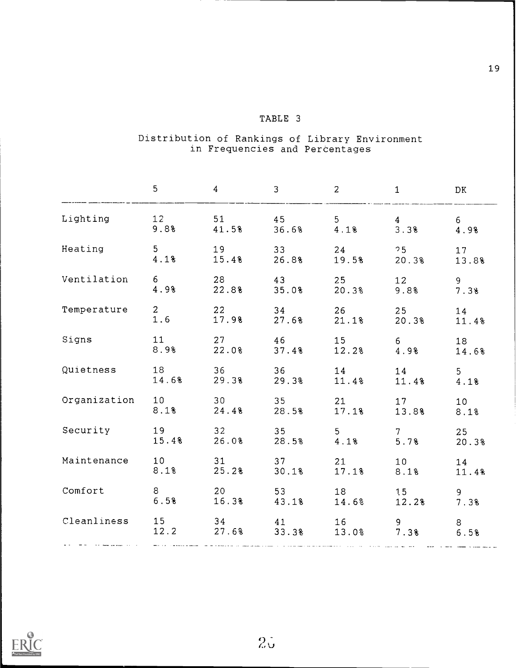## TABLE 3

#### Distribution of Rankings of Library Environment in Frequencies and Percentages

|                                                             | 5          | $\overline{4}$                                                                                                    | 3 | 2        | $\mathbf{1}$                                           | DK            |
|-------------------------------------------------------------|------------|-------------------------------------------------------------------------------------------------------------------|---|----------|--------------------------------------------------------|---------------|
| Lighting                                                    | 12<br>9.8% |                                                                                                                   |   |          | $51$ $45$ $5$ $4$<br>$41.5%$ $36.6%$ $4.1%$ $3.3%$     | $6 -$<br>4.98 |
| $\frac{3}{4.18}$                                            |            |                                                                                                                   |   |          | $19$ $33$ $24$ $75$<br>$15.4%$ $26.8%$ $19.5%$ $20.3%$ | 17<br>13.8%   |
| Ventilation 6 28 43 25 12                                   | 4.98       | 22.8%                                                                                                             |   |          | $35.0%$ 20.3% 9.8%                                     | 9<br>7.3%     |
| Temperature 2 22                                            | 1.6        | 17.98                                                                                                             |   |          | 34 26 25<br>$27.68$ $21.18$ $20.38$                    | 14<br>11.4%   |
| Signs                                                       | 8.9%       |                                                                                                                   |   |          | 11 27 46 15 6<br>22.0% 37.4% 12.2% 4.9%                | 18<br>14.68   |
| Quietness 18 36 36 14 14 5                                  |            |                                                                                                                   |   |          | 14.6% 29.3% 29.3% 11.4% 11.4% 4.1%                     |               |
| Organization 10 30 35 21 17<br>8.1% 24.4% 28.5% 17.1% 13.8% |            |                                                                                                                   |   |          |                                                        | 10<br>8.1%    |
| Security 19 32 35 5 7<br>15.4% 26.0% 28.5% 4.1% 5.7%        |            |                                                                                                                   |   |          |                                                        | 25<br>20.3%   |
| Maintenance 10                                              | 8.1%       |                                                                                                                   |   | 31 37 21 | 10<br>25.2% 30.1% 17.1% 8.1%                           | 14<br>11.4%   |
| Comfort                                                     | 6.5%       | 8 20                                                                                                              |   |          | 53 18 15<br>16.3% 43.1% 14.6% 12.2% 7.3%               | 9             |
| Cleanliness 15 34 41 16 9                                   |            | المتواصلة الشوار المتوازن الموالي والمراس المردود المرادية والمستوقف والمواسط المستحسون المحمدة فالمستحققين فالمت |   |          | 12.2 27.6% 33.3% 13.0% 7.3% 6.5%                       | 8             |

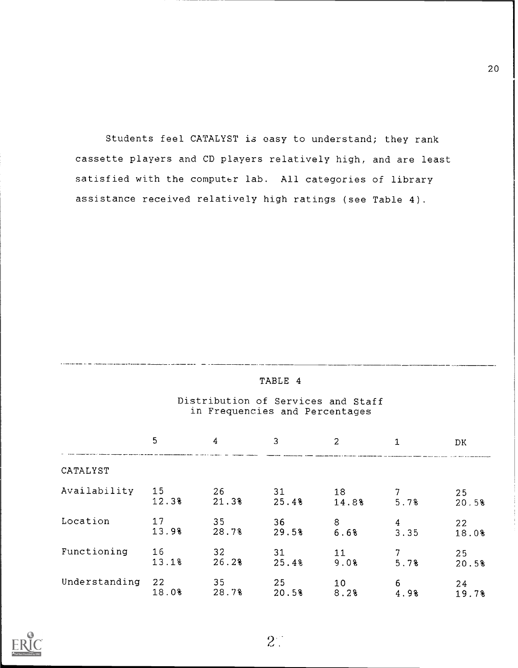Students feel CATALYST is easy to understand; they rank cassette players and CD players relatively high, and are least satisfied with the computer lab. All categories of library assistance received relatively high ratings (see Table 4).

### Distribution of Services and Staff in Frequencies and Percentages

|               | 5           | 4           | 3           | 2           |           | DK.         |
|---------------|-------------|-------------|-------------|-------------|-----------|-------------|
| CATALYST      |             |             |             |             |           |             |
| Availability  | 15<br>12.3% | 26<br>21.3% | 31<br>25.48 | 18<br>14.8% | 5.7%      | 25<br>20.5% |
| Location      | 17<br>13.9% | 35<br>28.7% | 36<br>29.5% | 8<br>6.6%   | 4<br>3.35 | 22<br>18.0% |
| Functioning   | 16<br>13.1% | 32<br>26.2% | 31<br>25.48 | 11<br>9.0%  | 5.78      | 25<br>20.5% |
| Understanding | 22<br>18.0% | 35<br>28.7% | 25<br>20.5% | 10<br>8.2%  | 6<br>4.98 | 24<br>19.78 |



 $2^{\circ}$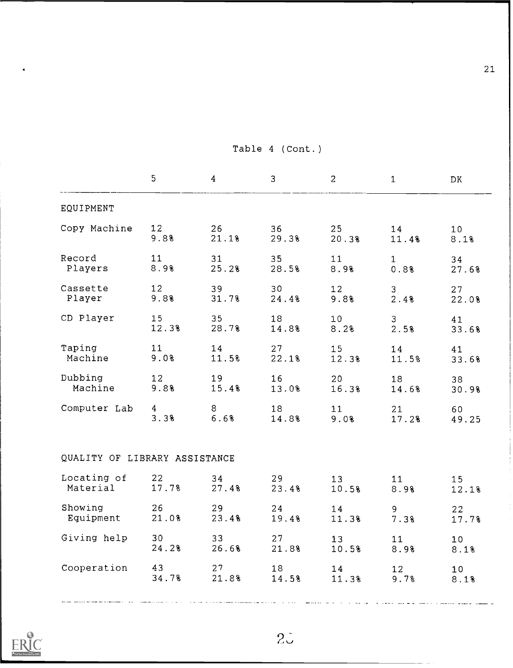|                               | 5              | 4     | 3     | $\overline{a}$  | $\mathbf{1}$    | DK              |
|-------------------------------|----------------|-------|-------|-----------------|-----------------|-----------------|
| EQUIPMENT                     |                |       |       |                 |                 |                 |
| Copy Machine                  | 12             | 26    | 36    | 25              | 14              | 10 <sub>1</sub> |
|                               | 9.8%           | 21.1% | 29.3% | 20.3%           | 11.4%           | 8.1%            |
| Record                        | 11             | 31    | 35    | 11              | $\mathbf{1}$    | 34              |
| Players                       | 8.9%           | 25.2% | 28.5% | 8.9%            | 0.8%            | 27.6%           |
| Cassette                      | 12             | 39    | 30    | 12 <sup>°</sup> | 3               | 27              |
| Player                        | 9.8%           | 31.7% | 24.48 | 9.8%            | 2.4%            | 22.0%           |
| CD Player                     | 15             | 35    | 18    | 10 <sub>1</sub> | $\mathfrak{Z}$  | 41              |
|                               | 12.3%          | 28.7% | 14.8% | 8.2%            | 2.5%            | 33.6%           |
| Taping                        | 11             | 14    | 27    | 15              | 14              | 41              |
| Machine                       | 9.0%           | 11.5% | 22.1% | 12.3%           | 11.5%           | 33.6%           |
| Dubbing                       | 12             | 19    | 16    | 20              | 18              | 38              |
| Machine                       | 9.8%           | 15.48 | 13.0% | 16.3%           | 14.68           | 30.9%           |
| Computer Lab                  | $\overline{4}$ | 8     | 18    | 11              | 21              | 60              |
|                               | 3.3%           | 6.6%  | 14.8% | 9.08            | 17.2%           | 49.25           |
| QUALITY OF LIBRARY ASSISTANCE |                |       |       |                 |                 |                 |
| Locating of                   | 22             | 34    | 29    | 13              | 11              | 15              |
| Material                      | 17.7%          | 27.4% | 23.4% | 10.5%           | 8.9%            | 12.1%           |
| Showing                       | 26             | 29    | 24    | 14              | 9               | 22              |
| Equipment                     | 21.0%          | 23.4% | 19.4% | 11.3%           | 7.38            | 17.7%           |
| Giving help                   | 30             | 33    | 27    | 13              | 11              | 10 <sub>1</sub> |
|                               | 24.28          | 26.6% | 21.8% | 10.5%           | 8.9%            | 8.1%            |
| Cooperation                   | 43             | 27    | 18    | 14              | 12 <sup>7</sup> | 10 <sub>1</sub> |
|                               | 34.7%          | 21.8% | 14.5% | 11.3%           | 9.7%            | 8.1%            |
|                               |                |       |       |                 |                 |                 |

## Table 4 (Cont.)



 $2\ddot{\circ}$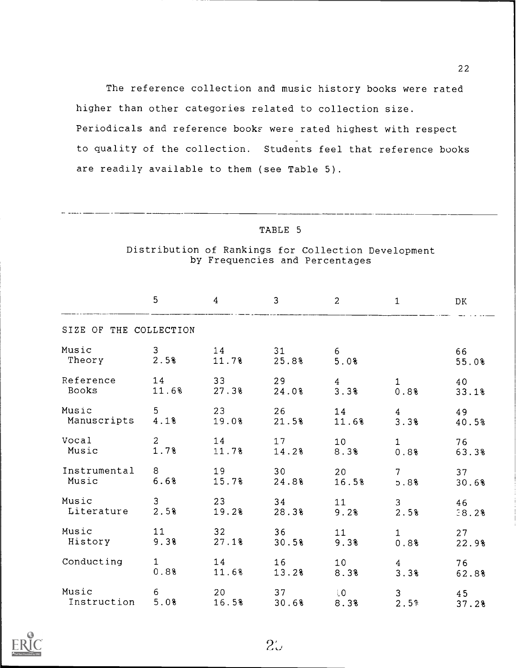The reference collection and music history books were rated higher than other categories related to collection size. Periodicals and reference books were rated highest with respect to quality of the collection. Students feel that reference books are readily available to them (see Table 5).

#### TABLE 5

### Distribution of Rankings for Collection Development by Frequencies and Percentages

|                        | 5              | $\overline{4}$  | 3     | 2              | $\mathbf{1}$    | DK    |
|------------------------|----------------|-----------------|-------|----------------|-----------------|-------|
| SIZE OF THE COLLECTION |                |                 |       |                |                 |       |
| Music                  | 3              | 14              | 31    | 6 <sub>1</sub> |                 | 66    |
| Theory                 | 2.5%           | 11.7%           | 25.8% | 5.0%           |                 | 55.0% |
| Reference              | 14             | 33 <sup>°</sup> | 29    | $\overline{4}$ | $\mathbf{1}$    | 40    |
| Books                  | 11.6%          | 27.3%           | 24.0% | 3.3%           | 0.8%            | 33.1% |
| Music                  | 5              | 23              | 26    | 14             | $\overline{4}$  | 49    |
| Manuscripts            | 4.18           | 19.0%           | 21.5% | 11.6%          | 3.3%            | 40.5% |
| Vocal                  | $\overline{a}$ | 14              | 17    | 10             | $\mathbf{1}$    | 76    |
| Music                  | 1.7%           | 11.7%           | 14.2% | 8.3%           | 0.88            | 63.3% |
| Instrumental           | 8              | 19              | 30    | 20             | $7\overline{ }$ | 37    |
| Music                  | 6.6%           | 15.7%           | 24.8% | 16.5%          | 5.8%            | 30.6% |
| Music                  | $\overline{3}$ | 23              | 34    | 11             | 3               | 46    |
| Literature             | 2.5%           | 19.2%           | 28.3% | 9.2%           | 2.5%            | 38.2% |
| Music                  | 11             | 32 <sub>2</sub> | 36    | 11             | $\mathbf{1}$    | 27    |
| History                | 9.3%           | 27.18           | 30.5% | 9.3%           | 0.8%            | 22.9% |
| Conducting             | $\mathbf{1}$   | 14              | 16    | 10             | $\overline{4}$  | 76    |
|                        | 0.8%           | 11.6%           | 13.2% | 8.3%           | 3.3%            | 62.8% |
| Music                  | 6              | 20              | 37    | $10 -$         | $\mathsf 3$     | 45    |
| Instruction            | 5.0%           | 16.5%           | 30.6% | 8.3%           | 2.5%            | 37.2% |

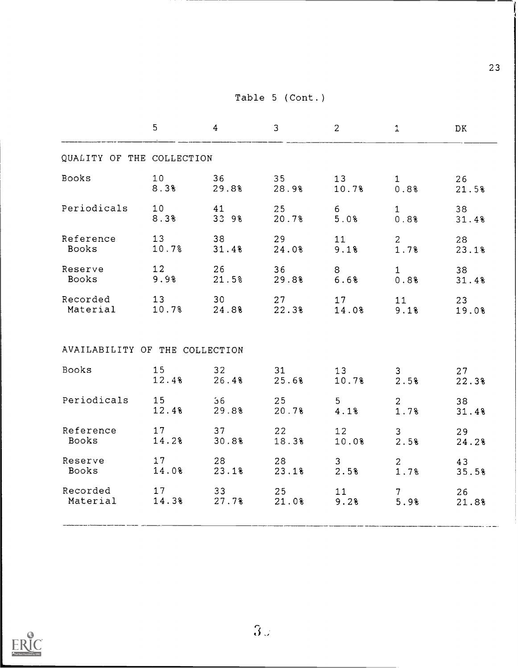Table 5 (Cont.)

|                                                 | 5     | $\overline{4}$            | 3           | $2^{\circ}$      | $\mathbf{1}$                   | <b>DK</b>   |
|-------------------------------------------------|-------|---------------------------|-------------|------------------|--------------------------------|-------------|
| QUALITY OF THE COLLECTION                       |       |                           |             |                  |                                |             |
| Books                                           | 10    | 36<br>$8.3% \qquad 29.8%$ | 35<br>28.9% | 13<br>10.7% 0.8% | 1                              | 26<br>21.5% |
| Periodicals                                     | 10    | 41                        | 25          | $6 \qquad$       | $\mathbf{1}$                   | 38          |
|                                                 | 8.3%  | 33 98                     | 20.7%       | 5.0%             | 0.8%                           | 31.48       |
| Reference                                       | 13    | 38                        | 29          | 11               | $2 \left( \frac{1}{2} \right)$ | 28          |
| Books                                           | 10.7% | 31.48                     | 24.08       | 9.1%             | 1.7%                           | 23.1%       |
| Reserve                                         | 12    | 26                        | 36          | $8 -$            | $1 \quad \blacksquare$         | 38          |
| Books                                           | 9.98  | 21.5%                     | 29.88       | 6.6%             | 0.8%                           | 31.4%       |
| Recorded 13 30 27<br>Material 10.7% 24.8% 22.3% |       |                           |             | 17<br>14.0%      | 11<br>9.1%                     | 23<br>19.0% |
| AVAILABILITY OF THE COLLECTION                  |       |                           |             |                  |                                |             |
| Books                                           | 15    | 32                        | 31          | 13               | $3 \sim$                       | 27          |
|                                                 | 12.48 | 26.48                     | 25.6%       | 10.7%            | 2.5%                           | 22.3%       |
| Periodicals 15                                  | 12.48 | 56<br>29.8%               | 25<br>20.7% | $5 - 5$<br>4.1%  | $2^{\sim}$<br>1.7%             | 38<br>31.48 |
| Reference                                       | 17    | 37                        | 22          | 12               | $\mathbf{3}$                   | 29          |
| Books                                           | 14.2% | 30.8%                     | 18.3%       | 10.0%            | 2.5%                           | 24.2%       |
| Reserve                                         | 17    | 28 3                      | 28          | $3 -$            | $2 \left( \frac{1}{2} \right)$ | 43          |
| Books                                           | 14.0% | 23.1%                     | 23.1%       | 2.5%             | 1.7%                           | 35.5%       |
| Recorded                                        | 17    | $33 - 1$                  | 25          | 11               | $7\overline{ }$                | 26          |
| Material                                        | 14.3% | 27.7%                     | 21.0%       | 9.2%             | 5.9%                           | 21.8%       |
|                                                 |       |                           |             |                  |                                |             |

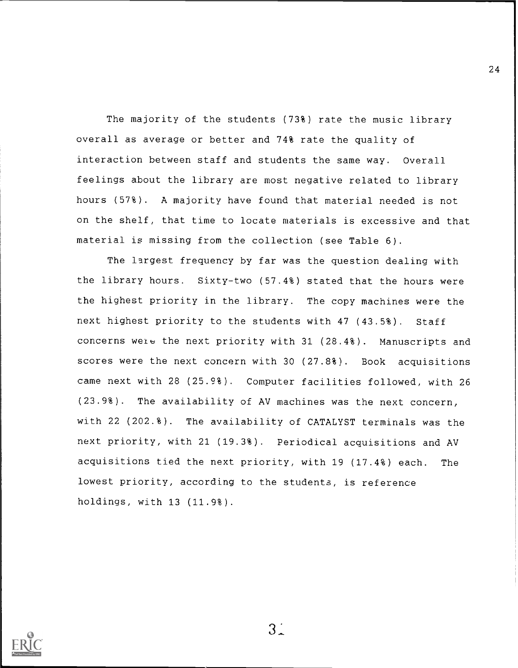The majority of the students (73%) rate the music library overall as average or better and 74% rate the quality of interaction between staff and students the same way. Overall feelings about the library are most negative related to library hours (57%). A majority have found that material needed is not on the shelf, that time to locate materials is excessive and that material is missing from the collection (see Table 6).

The largest frequency by far was the question dealing with the library hours. Sixty-two (57.4%) stated that the hours were the highest priority in the library. The copy machines were the next highest priority to the students with 47 (43.5%). Staff concerns weie the next priority with 31 (28.4%). Manuscripts and scores were the next concern with 30 (27.8%). Book acquisitions came next with 28 (25.2%). Computer facilities followed, with 26 (23.9%). The availability of AV machines was the next concern, with 22 (202.%). The availability of CATALYST terminals was the next priority, with 21 (19.3%). Periodical acquisitions and AV acquisitions tied the next priority, with 19 (17.4%) each. The lowest priority, according to the students, is reference holdings, with 13 (11.9%).



 $3<sup>1</sup>$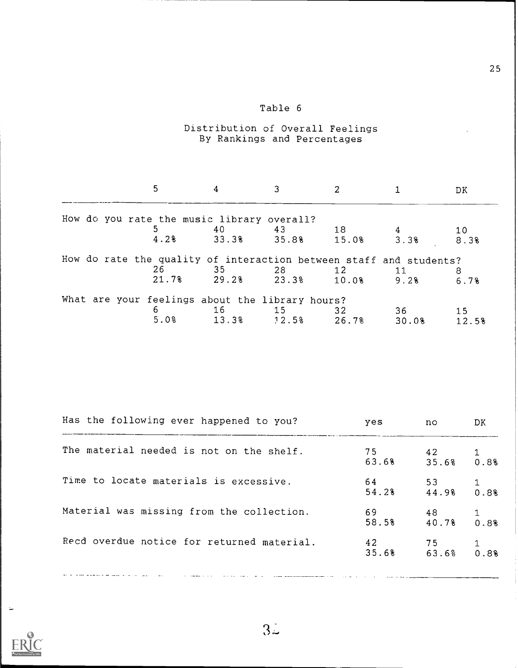# Table 6

### Distribution of Overall Feelings By Rankings and Percentages

|  | 5.                                                                                | 4           |             |                |            | DK.       |
|--|-----------------------------------------------------------------------------------|-------------|-------------|----------------|------------|-----------|
|  | How do you rate the music library overall?                                        |             |             |                |            |           |
|  |                                                                                   | 40          | 43          | 18             |            | 10        |
|  | 4.2%                                                                              | 33.3%       | 35.8%       | $15.0$ 8 3.3 % |            | 8.3%      |
|  | How do rate the quality of interaction between staff and students?<br>26<br>21.7% | 35<br>29.2% | 28<br>23.3% | 12<br>10.08    | 11<br>9.28 | 8<br>6.7% |
|  | What are your feelings about the library hours?                                   |             |             |                |            |           |
|  | 6                                                                                 | 16          | 15          | 32             | 36         | 15        |
|  | 5.0%                                                                              | 13.3%       | 92.58       | 26.7%          | 30.08      | 12.5%     |

| Has the following ever happened to you?    | yes         | no.         | DK   |
|--------------------------------------------|-------------|-------------|------|
| The material needed is not on the shelf.   | 75<br>63.6% | 42<br>35.6% | 0.8% |
| Time to locate materials is excessive.     | 64<br>54.2% | 53<br>44.98 | 0.88 |
| Material was missing from the collection.  | 69<br>58.5% | 48<br>40.7% | 0.8% |
| Recd overdue notice for returned material. | 42<br>35.6% | 75<br>63.6% | 0.88 |
|                                            |             |             |      |



Ľ,

 $3\overset{\circ}{\sim}$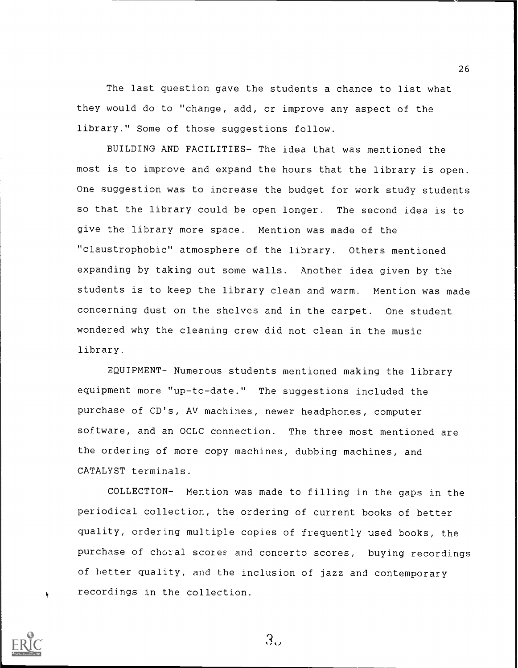The last question gave the students a chance to list what they would do to "change, add, or improve any aspect of the library." Some of those suggestions follow.

BUILDING AND FACILITIES- The idea that was mentioned the most is to improve and expand the hours that the library is open. One suggestion was to increase the budget for work study students so that the library could be open longer. The second idea is to give the library more space. Mention was made of the "claustrophobic" atmosphere of the library. Others mentioned expanding by taking out some walls. Another idea given by the students is to keep the library clean and warm. Mention was made concerning dust on the shelves and in the carpet. One student wondered why the cleaning crew did not clean in the music library.

EQUIPMENT- Numerous students mentioned making the library equipment more "up-to-date." The suggestions included the purchase of CD's, AV machines, newer headphones, computer software, and an OCLC connection. The three most mentioned are the ordering of more copy machines, dubbing machines, and CATALYST terminals.

COLLECTION- Mention was made to filling in the gaps in the periodical collection, the ordering of current books of better quality, ordering multiple copies of frequently used books, the purchase of choral scores and concerto scores, buying recordings of better quality, and the inclusion of jazz and contemporary recordings in the collection.



 $3.1$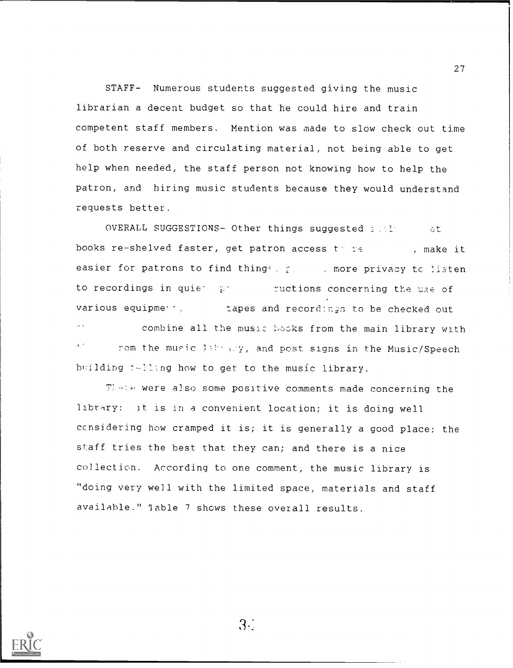STAFF- Numerous students suggested giving the music librarian a decent budget so that he could hire and train competent staff members. Mention was made to slow check out time of both reserve and circulating material, not being able to get help when needed, the staff person not knowing how to help the patron, and hiring music students because they would understand requests better.

OVERALL SUGGESTIONS- Other things suggested and the set books re-shelved faster, get patron access the set , make it easier for patrons to find things, paramore privacy to listen to recordings in quie-  $V = 1$  ructions concerning the use of various equipme -,...apes and recorci:nr; to be checked out

combine all the music books from the main library with rom the music library, and post signs in the Music/Speech building t-lling how to get to the music library.

There were also some positive comments made concerning the library: it is in a convenient location; it is doing well ccnsidering how cramped it is; it is generally a good place; the staff tries the best that they can; and there is a nice collection. According to one comment, the music library is "doing very well with the limited space, materials and staff available." Table 7 shows these overall results.



 $3<sub>1</sub>$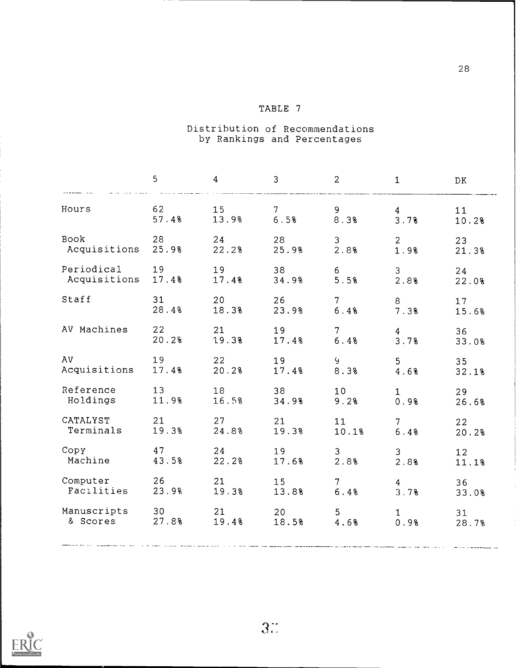## TABLE 7

### Distribution of Recommendations by Rankings and Percentages

|                              | 5                        | $\overline{4}$        | 3                      | $\overline{2}$          | $\mathbf{1}$         | DK.             |
|------------------------------|--------------------------|-----------------------|------------------------|-------------------------|----------------------|-----------------|
| Hours                        | 62                       | 15                    | 7 <sup>1</sup>         | 9                       | $\overline{4}$       | 11              |
|                              | 57.4%                    | 13.9%                 | 6.5%                   | 8.3%                    | 3.7%                 | 10.2%           |
| Book                         | 28                       | 24                    | 28                     | $\mathbf{3}$            | 2 <sup>1</sup>       | 23              |
| Acquisitions                 | 25.98                    | 22.2%                 | 25.9%                  | 2.8%                    | 1.9%                 | 21.3%           |
| Periodical                   | 19                       | 19                    | 38                     | 6                       | 3 <sup>7</sup>       | 24              |
| Acquisitions 17.4%           |                          | 17.48                 | 34.9%                  | 5.5%                    | 2.8%                 | 22.0%           |
| Staff                        | 31                       | 20                    | 26                     | $7 \quad \circ$         | 8                    | 17 <sub>2</sub> |
|                              | 28.4%                    | 18.3%                 | 23.9%                  | 6.4%                    | 7.3%                 | 15.6%           |
| AV Machines                  | 22<br>20.2%              | 21 \,<br>19.3%        | 19 (19)<br>17.48       | 7<br>6.4%               | $\frac{4}{3}$ . 7%   | 36<br>33.0%     |
| AV                           | 19                       | 22 and $\overline{a}$ |                        | $9 \pm 1$               | 5 <sub>1</sub>       | 35 <sub>o</sub> |
| Acquisitions                 | 17.48                    | 20.2%                 | 17.48                  | 8.3%                    | 4.68                 | 32.18           |
| Reference<br>Holdings        | 13 <sup>7</sup><br>11.98 | 18 (18)<br>16.5%      | 38<br>34.98            | 10<br>9.2%              | $\mathbf{1}$<br>0.9% | 29<br>26.68     |
| CATALYST                     | 21                       | 27 — 27               | 21                     | 11 \,                   | 7 <sup>7</sup>       | 22              |
| Terminals                    | 19.3%                    | 24.8%                 | 19.3%                  | 10.1%                   | 6.4%                 | 20.2%           |
| Сору                         | 47 and $\sim$            | 24                    | 19                     | 3 <sup>7</sup>          | 3 <sup>7</sup>       | 12 <sup>°</sup> |
| Machine                      | 43.5%                    | 22.2%                 | 17.6%                  | 2.8%                    | 2.8%                 | 11.1%           |
| Computer<br>Facilities 23.9% | 26                       | 21<br>19.3%           | 15 and $\sim$<br>13.8% | $7 \quad \circ$<br>6.4% | $4\degree$<br>3.7%   | 36<br>33.0%     |
| Manuscripts 30               |                          |                       | 20                     | 5 <sub>1</sub>          | 1                    | 31              |
| & Scores 27.8%               |                          | 19.48                 | 18.5%                  | 4.6%                    | 0.9%                 | 28.7%           |
|                              |                          |                       |                        |                         |                      |                 |

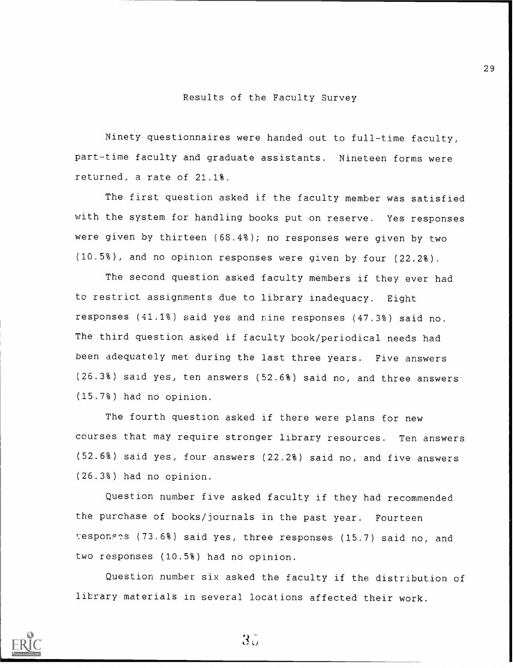#### Results of the Faculty Survey

Ninety questionnaires were handed out to full-time faculty, part-time faculty and graduate assistants. Nineteen forms were returned, a rate of 21.1%.

The first question asked if the faculty member was satisfied with the system for handling books put on reserve. Yes responses were given by thirteen (68.4%); no responses were given by two (10.5%), and no opinion responses were given by four (22.2%).

The second question asked faculty members if they ever had to restrict assignments due to library inadequacy. Eight responses (41.1%) said yes and nine responses (47.3%) said no. The third question asked if faculty book/periodical needs had been adequately met during the last three years. Five answers (26.3%) said yes, ten answers (52.6%) said no, and three answers (15.7%) had no opinion.

The fourth question asked if there were plans for new courses that may require stronger library resources. Ten answers (52.6%) said yes, four answers (22.2%) said no, and five answers (26.3%) had no opinion.

Question number five asked faculty if they had recommended the purchase of books/journals in the past year. Fourteen responses (73.6%) said yes, three responses (15.7) said no, and two responses (10.5%) had no opinion.

Question number six asked the faculty if the distribution of library materials in several locations affected their work.



 $35<sup>°</sup>$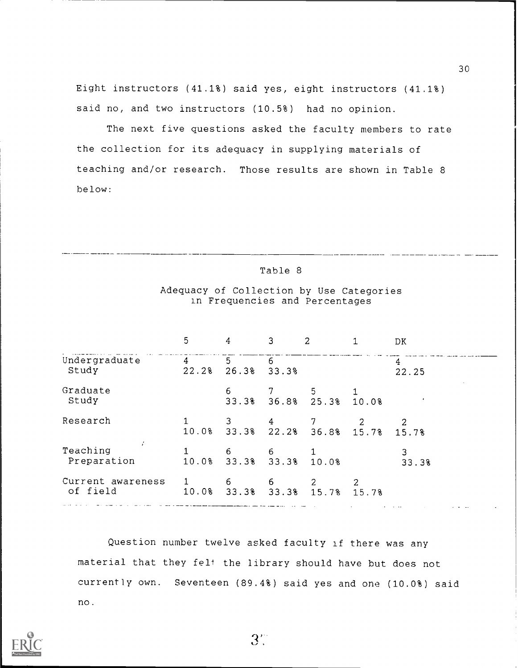Eight instructors (41.1%) said yes, eight instructors (41.1%) said no, and two instructors (10.5%) had no opinion.

The next five questions asked the faculty members to rate the collection for its adequacy in supplying materials of teaching and/or research. Those results are shown in Table 8 below:

|                               | 5          |            | З          | 2                |       | DК         |
|-------------------------------|------------|------------|------------|------------------|-------|------------|
| Undergraduate<br>Study        | 4<br>22.28 | 5<br>26.3% | 6<br>33.3% |                  |       | 4<br>22.25 |
| Graduate<br>Study             |            | 6<br>33.3% |            | 5<br>36.8% 25.3% | 10.0% |            |
| Research                      | 10.0%      | 33.3%      | 4<br>22.2% | 36.8%            | 15.7% | 15.7%      |
| Teaching<br>Preparation       | 10.0%      | 6<br>33.3% | 6<br>33.3% | 10.0%            |       | 33.3%      |
| Current awareness<br>of field | 10.0%      | 6<br>33.3% | 6<br>33.3% | 15.7%            | 15.7% |            |

Adequacy of Collection by Use Categories in Frequencies and Percentages

Table 8

Question number twelve asked faculty if there was any material that they felt the library should have but does not currently own. Seventeen (89.4%) said yes and one (10.0%) said no.

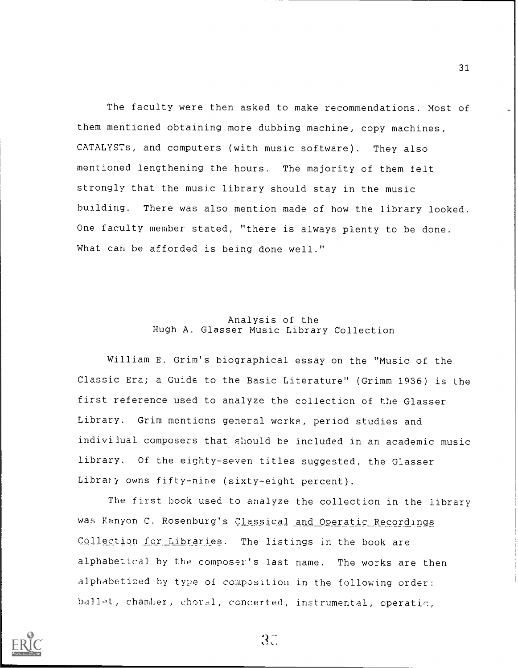The faculty were then asked to make recommendations. Most of them mentioned obtaining more dubbing machine, copy machines, CATALYSTs, and computers (with music software). They also mentioned lengthening the hours. The majority of them felt strongly that the music library should stay in the music building. There was also mention made of how the library looked. One faculty member stated, "there is always plenty to be done. What can be afforded is being done well."

#### Analysis of the Hugh A. Glasser Music Library Collection

William E. Grim's biographical essay on the "Music of the Classic Era; a Guide to the Basic Literature" (Grimm 1936) is the first reference used to analyze the collection of the Glasser Library. Grim mentions general works, period studies and indivilual composers that should be included in an academic music library. Of the eighty-seven titles suggested, the Glasser Library owns fifty-nine (sixty-eight percent).

The first book used to analyze the collection in the library was Kenyon C. Rosenburg's Classical and Operatic Recordings Collection for Libraries. The listings in the book are alphabetical by the composer's last name. The works are then alphabetized by type of composition in the following order: ballet, chamber, choral, concerted, instrumental, operatic,

 $3C$ 

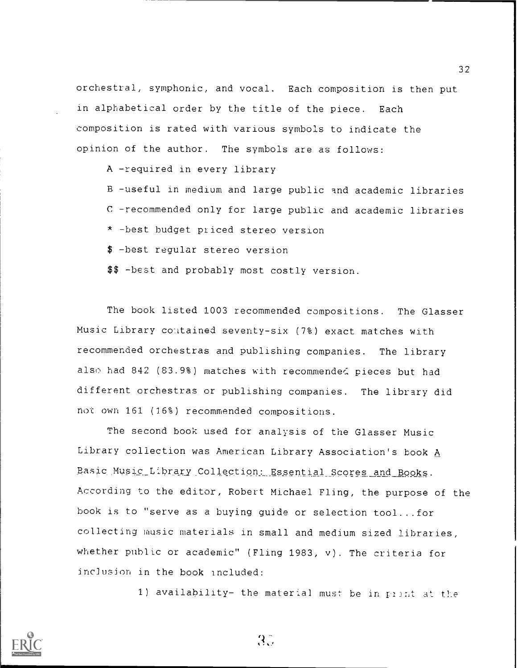orchestral, symphonic, and vocal. Each composition is then put in alphabetical order by the title of the piece. Each composition is rated with various symbols to indicate the opinion of the author. The symbols are as follows:

A -required in every library

B -useful in medium and large public and academic libraries C -recommended only for large public and academic libraries \* -best budget piiced stereo version

\$ -best regular stereo version

\$\$ -best and probably most costly version.

The book listed 1003 recommended compositions. The Glasser Music Library contained seventy-six (7%) exact matches with recommended orchestras and publishing companies. The library also had 842 (83.9%) matches with recommended pieces but had different orchestras or publishing companies. The library did not own 161 (16%) recommended compositions.

The second book used for analysis of the Glasser Music Library collection was American Library Association's book A Basic\_Mysic\_Library.Collection: Essential Scores and Books. According to the editor, Robert Michael Fling, the purpose of the book is to "serve as a buying guide or selection tool...for collecting music materials in small and medium sized libraries, whether public or academic" (Fling 1983, v). The criteria for inclusion in the book included:

1) availability- the material must be in piint at the



 $3.7$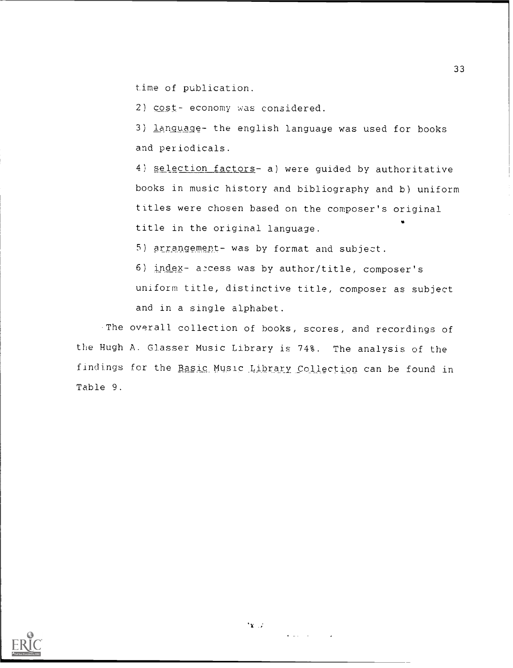time of publication.

2) cost- economy was considered.

3) language- the english language was used for books and periodicals.

4) selection factors- a) were guided by authoritative books in music history and bibliography and b) uniform titles were chosen based on the composer's original title in the original language.

5) arrangement- was by format and subject.

6) index- access was by author/title, composer's uniform title, distinctive title, composer as subject and in a single alphabet.

-The overall collection of hooks, scores, and recordings of the Hugh A. Glasser Music Library is 74%. The analysis of the findings for the Basic Music Library Collection can be found in Table 9.



 $x \rightarrow$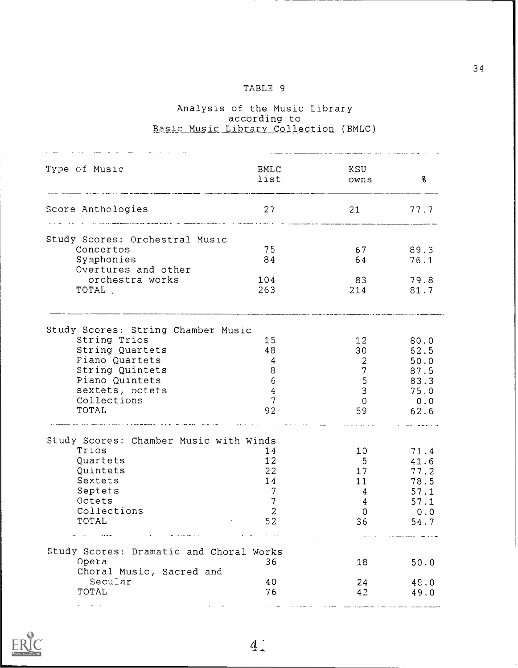## TABLE 9

#### Analysis of the according <u>Basic Music Library Collecti</u> Music Library to Collection (BMLC)

| Type of Music                                                                                                                    | BMLC<br>list    | KSU<br>owns      | $\mathcal{E}$ |
|----------------------------------------------------------------------------------------------------------------------------------|-----------------|------------------|---------------|
| Score Anthologies<br><b>For the construction of the construction of the construction of the construction of the construction</b> | 27              |                  | 21 77.7       |
| Study Scores: Orchestral Music                                                                                                   |                 |                  |               |
| Concertos                                                                                                                        | 75              | 67 89.3          |               |
| Symphonies                                                                                                                       | 84              | 64 64            | 76.1          |
| Overtures and other                                                                                                              |                 |                  |               |
| orchestra works                                                                                                                  | 104             | 83               | 79.8          |
| TOTAL.                                                                                                                           | 263             |                  | 214 81.7      |
| Study Scores: String Chamber Music                                                                                               |                 |                  |               |
| String Trios                                                                                                                     | 15 <sub>2</sub> | 12               | 80.0          |
| String Quartets                                                                                                                  | 48              | 30               | 62.5          |
| Piano Quartets                                                                                                                   | $\overline{4}$  | $2 \overline{ }$ | 50.0          |
| String Quintets                                                                                                                  | 8               | 7 <sup>7</sup>   | 87.5          |
| Piano Quintets                                                                                                                   | 6               | 5 <sub>1</sub>   | 83.3          |
| sextets, octets                                                                                                                  | $\overline{4}$  | 3 <sup>7</sup>   | 75.0          |
| Collections                                                                                                                      | $\overline{7}$  | $\mathbf{0}$     | 0.0           |
| TOTAL                                                                                                                            | 92              | 59               | 62.6          |
| Study Scores: Chamber Music with Winds                                                                                           |                 |                  |               |
| Trios                                                                                                                            | 14              | 10               | 71.4          |
| Quartets<br>Quintets                                                                                                             | 12<br>22        | 5 <sup>5</sup>   | 41.6          |
| Sextets                                                                                                                          | 14              | 17<br>11         | 77.2<br>78.5  |
| Septets                                                                                                                          | $7\phantom{.0}$ | $4\phantom{0}$   | 57.1          |
| Octets                                                                                                                           | $7\phantom{.0}$ | $4\phantom{0}$   | 57.1          |
| Collections                                                                                                                      | $\overline{c}$  | $\mathbf{0}$     | 0.0           |
| TOTAL                                                                                                                            | 52              | 36               | 54.7          |
|                                                                                                                                  |                 |                  |               |
| Study Scores: Dramatic and Choral Works<br>Opera                                                                                 | 36              | 18               | 50.0          |
| Choral Music, Sacred and                                                                                                         |                 |                  |               |
| Secular                                                                                                                          | 40              | 24               | 48.0          |
| TOTAL                                                                                                                            | 76              | 42               | 49.0          |
|                                                                                                                                  |                 |                  |               |

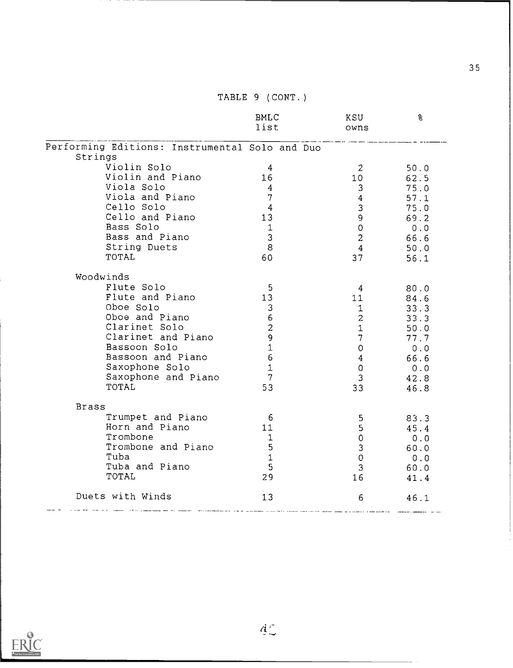|                                                           | BMLC<br>list                     | KSU<br><b>Example 19</b> OWNS | ဒွ            |
|-----------------------------------------------------------|----------------------------------|-------------------------------|---------------|
| Performing Editions: Instrumental Solo and Duo<br>Strings |                                  |                               |               |
| Violin Solo                                               |                                  |                               |               |
| Violin and Piano                                          | $\overline{4}$<br>16             | $\overline{\phantom{a}}$ 2    | 50.0          |
| Viola Solo                                                |                                  | 10 62.5                       |               |
| Viola and Piano                                           | $\overline{4}$                   | 3 <sup>7</sup>                | 75.0          |
|                                                           | 7 <sup>7</sup><br>$\overline{4}$ | $4\overline{ }$               | 57.1          |
| Cello Solo                                                |                                  | 3 <sup>7</sup>                | 75.0          |
| Cello and Piano                                           | 13                               | $9 -$                         | 69.2          |
| Bass Solo                                                 | $\mathbf{1}$                     | $\overline{O}$                | 0.0           |
| Bass and Piano                                            | $\overline{3}$                   | $2^{\circ}$                   | 66.6          |
| String Duets                                              | 8 <sup>8</sup>                   | $4\overline{ }$               | 50.0          |
| TOTAL                                                     | 60                               | 37                            | 56.1          |
| Woodwinds                                                 |                                  |                               |               |
| Flute Solo                                                | $5^{\circ}$                      |                               |               |
| Flute and Piano                                           | 13                               | 11                            | 80.0<br>84.6  |
| Oboe Solo                                                 | $\mathbf{3}$                     | 1                             | 33.3          |
| Oboe and Piano                                            | 6                                | $2^{\circ}$                   | 33.3          |
| Clarinet Solo                                             | $\overline{2}$                   | $1 \quad \blacksquare$        | 50.0          |
| Clarinet and Piano                                        | $\overline{9}$                   | $7 -$                         | 77.7          |
| Bassoon Solo                                              | $\mathbf{1}$                     | $\mathbf{O}$                  |               |
| Bassoon and Piano                                         | 6 <sup>1</sup>                   | $4\overline{ }$               | $0.0$<br>66.6 |
| Saxophone Solo                                            | $\mathbf{1}$                     | $\overline{0}$                | 0.0           |
| Saxophone and Piano                                       | $\overline{7}$                   | 3 <sup>7</sup>                | 42.8          |
| TOTAL                                                     | 53                               |                               |               |
|                                                           |                                  | 33                            | 46.8          |
| <b>Brass</b>                                              |                                  |                               |               |
| Trumpet and Piano                                         | $6\overline{6}$                  | $5 -$                         | 83.3          |
| Horn and Piano                                            | 11                               | $5 -$                         | 45.4          |
| Trombone                                                  | -1                               | $\mathbf{0}$                  | 0.0           |
| Trombone and Piano                                        | $-5$                             | 3 <sup>7</sup>                | 60.0          |
| Tuba                                                      | $\mathbf{1}$                     | $\mathbf{0}$                  | 0.0           |
| Tuba and Piano                                            | $-5$                             | 3 <sup>7</sup>                | 60.0          |
| TOTAL                                                     | 29                               | 16                            | 41.4          |
| Duets with Winds                                          | 13                               | 6                             | 46.1          |

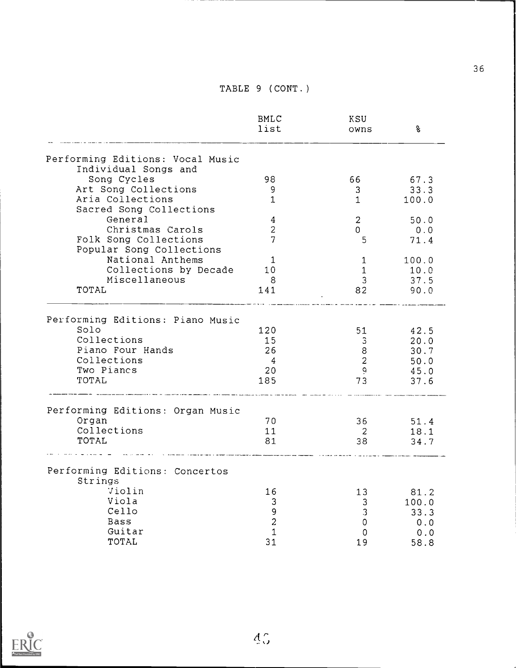|                                                                       | <b>BMLC</b><br>list         | KSU<br>owns                                       | 8                                    |
|-----------------------------------------------------------------------|-----------------------------|---------------------------------------------------|--------------------------------------|
| Performing Editions: Vocal Music                                      |                             |                                                   |                                      |
| Individual Songs and                                                  |                             |                                                   |                                      |
| Song Cycles                                                           | 98                          | 66.                                               | 67.3                                 |
| Art Song Collections                                                  | 9                           | 3 <sup>1</sup>                                    | 33.3                                 |
| Aria Collections                                                      | $\mathbf{1}$                | $\mathbf 1$                                       | 100.0                                |
| Sacred Song Collections                                               |                             |                                                   |                                      |
| General                                                               | $\overline{4}$              | $\overline{2}$                                    | 50.0                                 |
| Christmas Carols                                                      | $\overline{c}$              | 0                                                 | 0.0                                  |
| Folk Song Collections                                                 | $\overline{7}$              | 5                                                 | 71.4                                 |
| Popular Song Collections                                              |                             |                                                   |                                      |
| National Anthems                                                      | $\mathbf 1$                 | $\mathbf 1$                                       | 100.0                                |
| Collections by Decade                                                 | 10                          | $\mathbf{1}$                                      | 10.0                                 |
| Miscellaneous                                                         | 8                           | 3                                                 | 37.5                                 |
| TOTAL                                                                 | 141                         | 82                                                | 90.0                                 |
| Collections<br>Piano Four Hands<br>Collections<br>Two Piancs<br>TOTAL | 15<br>26<br>-4<br>20<br>185 | $\mathfrak{Z}$<br>8<br>$\overline{2}$<br>۹.<br>73 | 20.0<br>30.7<br>50.0<br>45.0<br>37.6 |
| Performing Editions: Organ Music                                      |                             |                                                   |                                      |
| Organ                                                                 | 70                          | 36                                                | 51.4                                 |
| Collections                                                           | 11                          | $\overline{2}$                                    | 18.1                                 |
| TOTAL                                                                 | 81                          | 38                                                | 34.7                                 |
| Performing Editions: Concertos                                        |                             |                                                   |                                      |
| Strings                                                               |                             |                                                   |                                      |
| Violin                                                                | 16                          | 13                                                | 81.2                                 |
| Viola                                                                 | 3                           | 3 <sup>1</sup>                                    | 100.0                                |
| Cello                                                                 | 9                           | 3                                                 | 33.3                                 |
| Bass                                                                  | $\overline{c}$              | 0                                                 | 0.0                                  |
| Guitar                                                                | $\mathbf{1}$                | 0                                                 | 0.0                                  |
| TOTAL                                                                 | 31                          | 19                                                | 58.8                                 |

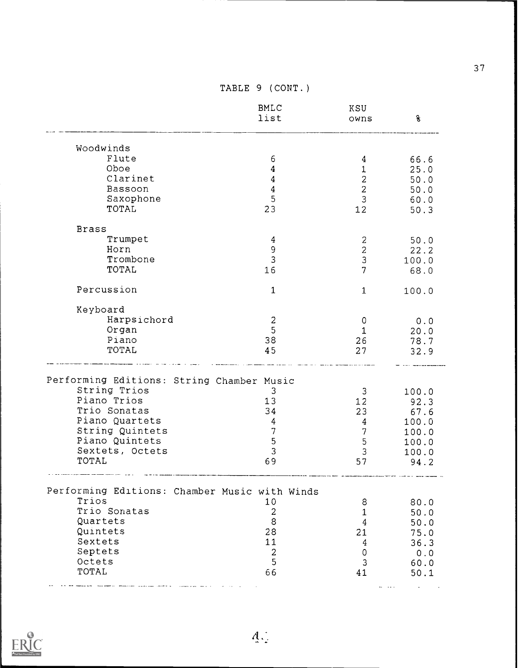|                                                           | <b>BMLC</b><br>list | KSU<br>owns         | 8              |
|-----------------------------------------------------------|---------------------|---------------------|----------------|
| Woodwinds                                                 |                     |                     |                |
| Flute                                                     | 6                   | 4                   | 66.6           |
| Oboe                                                      | $\boldsymbol{4}$    | $\mathbf 1$         | 25.0           |
| Clarinet                                                  | $\overline{4}$      | $\overline{c}$      | 50.0           |
| Bassoon                                                   | $\overline{4}$      | $\overline{c}$      | 50.0           |
| Saxophone                                                 | 5                   | 3                   | 60.0           |
| <b>TOTAL</b>                                              | 23                  | 12                  | 50.3           |
| <b>Brass</b>                                              |                     |                     |                |
| Trumpet                                                   | $\overline{4}$      | 2                   | 50.0           |
| Horn                                                      | 9                   | $\overline{a}$      | 22.2           |
| Trombone                                                  | 3                   | 3                   | 100.0          |
| TOTAL                                                     | 16                  | 7                   | 68.0           |
| Percussion                                                | $\mathbf{1}$        | $\mathbf{1}$        | 100.0          |
| Keyboard                                                  |                     |                     |                |
| Harpsichord                                               | $\overline{c}$      | 0                   | 0.0            |
| Organ                                                     | 5                   | $\mathbf{1}$        | 20.0           |
| Piano                                                     | 38                  | 26                  | 78.7           |
| TOTAL                                                     | 45                  | 27                  | 32.9           |
|                                                           |                     |                     |                |
| Performing Editions: String Chamber Music<br>String Trios |                     |                     |                |
| Piano Trios                                               | 3                   | $\mathbf{3}$        | 100.0          |
| Trio Sonatas                                              | 13<br>34            | 12 <sup>2</sup>     | 92.3           |
| Piano Quartets                                            |                     | 23                  | 67.6           |
| String Quintets                                           | 4<br>$\overline{7}$ | $\overline{4}$<br>7 | 100.0          |
| Piano Quintets                                            | 5                   | 5                   | 100.0<br>100.0 |
| Sextets, Octets                                           | $\overline{3}$      | 3                   | 100.0          |
| TOTAL                                                     | 69                  | 57                  | 94.2           |
|                                                           |                     |                     |                |
| Performing Editions: Chamber Music with Winds<br>Trios    |                     |                     |                |
| Trio Sonatas                                              | 10                  | 8                   | 80.0           |
|                                                           | $\overline{c}$      | $\mathbf{1}$        | 50.0           |
| Quartets                                                  | 8                   | $\overline{4}$      | 50.0           |
| Quintets                                                  | 28                  | 21                  | 75.0           |
| Sextets<br>Septets                                        | 11                  | $\overline{4}$      | 36.3           |
| Octets                                                    | $\overline{c}$<br>5 | $\mathsf 0$         | 0.0            |
| TOTAL                                                     |                     | 3                   | 60.0           |
|                                                           | 66                  | 41                  | 50.1           |



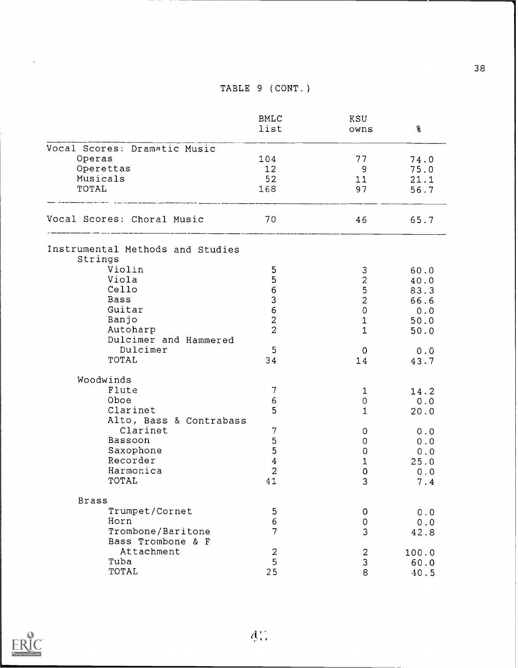|                                             | <b>BMLC</b><br>list | KSU<br>owns               | 8     |
|---------------------------------------------|---------------------|---------------------------|-------|
| Vocal Scores: Dramatic Music                |                     |                           |       |
| Operas                                      | 104                 | 77                        | 74.0  |
| Operettas                                   | 12                  | - 9                       | 75.0  |
| Musicals                                    | 52                  | 11                        | 21.1  |
| TOTAL                                       | 168                 | 97                        | 56.7  |
| Vocal Scores: Choral Music                  | 70                  | 46                        | 65.7  |
| Instrumental Methods and Studies<br>Strings |                     |                           |       |
| Violin                                      | 5                   | 3                         | 60.0  |
| Viola                                       | 5                   | $\overline{c}$            | 40.0  |
| Cello                                       | $\overline{6}$      | 5                         | 83.3  |
| Bass                                        | 3                   | $\overline{c}$            | 66.6  |
| Guitar                                      | $\overline{6}$      | $\mathsf{O}\xspace$       | 0.0   |
| Banjo                                       | $\overline{a}$      | $\ensuremath{\mathsf{1}}$ | 50.0  |
| Autoharp                                    | $\overline{2}$      | $\mathbf{1}$              | 50.0  |
| Dulcimer and Hammered                       |                     |                           |       |
| Dulcimer                                    | 5                   | $\mathbf 0$               | 0.0   |
| TOTAL                                       | 34                  | 14                        | 43.7  |
| Woodwinds                                   |                     |                           |       |
| Flute                                       | 7                   | $\mathbf{1}$              | 14.2  |
| Oboe                                        | 6                   | 0                         | 0.0   |
| Clarinet                                    | 5                   | 1                         | 20.0  |
| Alto, Bass & Contrabass                     |                     |                           |       |
| Clarinet                                    | 7                   | $\circ$                   | 0.0   |
| Bassoon                                     | 5                   | $\mathbf 0$               | 0.0   |
| Saxophone                                   | $\mathbf 5$         | 0                         | 0.0   |
| Recorder                                    | $\overline{4}$      | $\mathbf 1$               | 25.0  |
| Harmonica                                   | $\overline{2}$      | $\pmb{0}$                 | 0.0   |
| TOTAL                                       | 41                  | 3                         | 7.4   |
| <b>Brass</b>                                |                     |                           |       |
| Trumpet/Cornet                              | 5                   | 0                         | 0.0   |
| Horn                                        | 6                   | 0                         | 0.0   |
| Trombone/Baritone                           | $\overline{7}$      | 3                         | 42.8  |
| Bass Trombone & F                           |                     |                           |       |
| Attachment                                  | 2                   | $\overline{a}$            | 100.0 |
| Tuba                                        | 5                   | 3                         | 60.0  |
| TOTAL                                       | 25                  | 8                         | 40.5  |



 $\hat{\mathcal{A}}$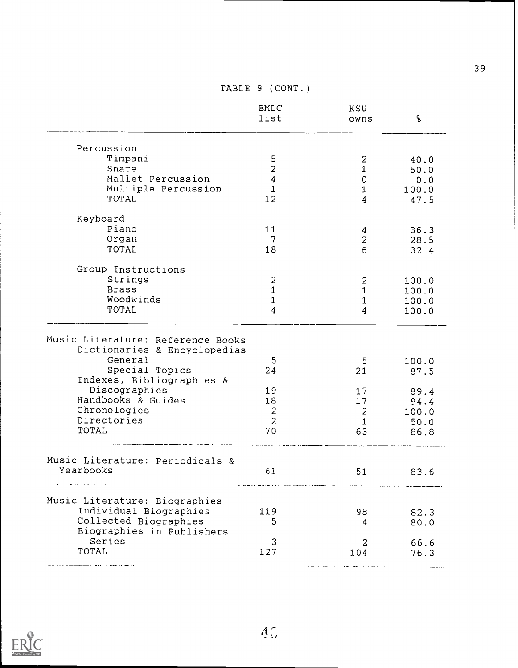|                                                                                                                                                                       | <b>BMLC</b><br>list                                             | KSU<br>owns                                    | १                                                      |
|-----------------------------------------------------------------------------------------------------------------------------------------------------------------------|-----------------------------------------------------------------|------------------------------------------------|--------------------------------------------------------|
| Percussion                                                                                                                                                            |                                                                 |                                                |                                                        |
| Timpani                                                                                                                                                               | 5                                                               | 2                                              | 40.0                                                   |
| Snare                                                                                                                                                                 | $\overline{2}$                                                  | 1                                              | 50.0                                                   |
| Mallet Percussion                                                                                                                                                     | $\overline{4}$                                                  | $\mathbf{0}$                                   | 0.0                                                    |
| Multiple Percussion                                                                                                                                                   | $\mathbf{1}$                                                    | $\mathbf{1}$                                   | 100.0                                                  |
| TOTAL                                                                                                                                                                 | 12                                                              | $\overline{4}$                                 | 47.5                                                   |
| Keyboard                                                                                                                                                              |                                                                 |                                                |                                                        |
| Piano                                                                                                                                                                 | 11                                                              | 4                                              | 36.3                                                   |
| Organ                                                                                                                                                                 | 7                                                               | $\overline{c}$                                 | 28.5                                                   |
| TOTAL                                                                                                                                                                 | 18                                                              | 6                                              | 32.4                                                   |
| Group Instructions                                                                                                                                                    |                                                                 |                                                |                                                        |
| Strings                                                                                                                                                               | $\boldsymbol{2}$                                                | 2                                              | 100.0                                                  |
| <b>Brass</b>                                                                                                                                                          | $\mathbf 1$                                                     | $\mathbf{1}$                                   | 100.0                                                  |
| Woodwinds                                                                                                                                                             | $\mathbf{1}$                                                    | $\ensuremath{\mathsf{1}}$                      | 100.0                                                  |
| TOTAL                                                                                                                                                                 | 4                                                               | $\overline{4}$                                 | 100.0                                                  |
| Dictionaries & Encyclopedias<br>General<br>Special Topics<br>Indexes, Bibliographies &<br>Discographies<br>Handbooks & Guides<br>Chronologies<br>Directories<br>TOTAL | 5<br>24<br>19<br>18<br>$\boldsymbol{2}$<br>$\overline{2}$<br>70 | 5<br>21<br>17<br>17<br>2<br>$\mathbf{1}$<br>63 | 100.0<br>87.5<br>89.4<br>94.4<br>100.0<br>50.0<br>86.8 |
| Music Literature: Periodicals &<br>Yearbooks<br>$\omega = \omega \omega$ , and $\omega$                                                                               | 61                                                              | 51                                             | 83.6                                                   |
| Music Literature: Biographies                                                                                                                                         |                                                                 |                                                |                                                        |
| Individual Biographies                                                                                                                                                | 119                                                             | 98                                             | 82.3                                                   |
| Collected Biographies                                                                                                                                                 | 5                                                               | 4                                              | 80.0                                                   |
| Biographies in Publishers                                                                                                                                             |                                                                 |                                                |                                                        |
|                                                                                                                                                                       |                                                                 |                                                | 66.6                                                   |
|                                                                                                                                                                       |                                                                 |                                                | 76.3                                                   |
| Series<br>TOTAL                                                                                                                                                       | 3<br>127                                                        | 2<br>104                                       |                                                        |



 $\mathbf{j}$  $\frac{1}{4}$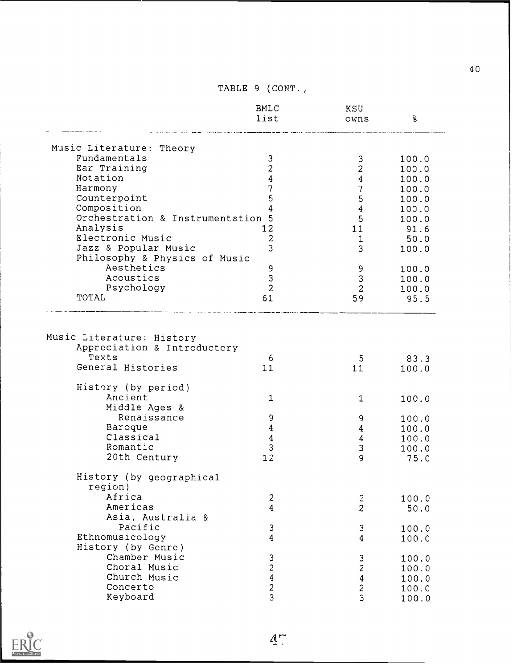|                                                                                        | <b>BMLC</b><br>list                      | KSU<br>owns                                       | g,             |
|----------------------------------------------------------------------------------------|------------------------------------------|---------------------------------------------------|----------------|
| Music Literature: Theory                                                               |                                          |                                                   |                |
| Fundamentals                                                                           | 3                                        | 3                                                 | 100.0          |
| Ear Training                                                                           | $\overline{c}$                           | $\overline{c}$                                    | 100.0          |
| Notation                                                                               | $\overline{4}$                           | $\overline{4}$                                    | 100.0          |
| Harmony                                                                                | 7                                        | 7                                                 | 100.0          |
| Counterpoint                                                                           | 5                                        | 5                                                 | 100.0          |
| Composition                                                                            | 4                                        | $\boldsymbol{4}$                                  | 100.0          |
| Orchestration & Instrumentation 5                                                      |                                          | 5                                                 | 100.0          |
| Analysis                                                                               | 12                                       | 11                                                | 91.6           |
| Electronic Music                                                                       | $\overline{c}$                           | $\mathbf 1$                                       | 50.0           |
| Jazz & Popular Music                                                                   | 3                                        | 3                                                 | 100.0          |
| Philosophy & Physics of Music                                                          |                                          |                                                   |                |
| Aesthetics                                                                             | 9                                        | 9                                                 | 100.0          |
| Acoustics                                                                              | 3                                        | 3                                                 | 100.0          |
| Psychology                                                                             | $\overline{2}$                           | $\overline{2}$                                    | 100.0          |
| TOTAL                                                                                  | 61                                       | 59                                                | 95.5           |
| Music Literature: History<br>Appreciation & Introductory<br>Texts<br>General Histories | 6<br>11                                  | 5<br>11                                           | 83.3<br>100.0  |
| History (by period)                                                                    |                                          |                                                   |                |
| Ancient                                                                                | $\mathbf{1}$                             | $\mathbf{1}$                                      | 100.0          |
| Middle Ages &                                                                          |                                          |                                                   |                |
| Renaissance                                                                            | 9                                        |                                                   |                |
|                                                                                        |                                          | 9                                                 | 100.0          |
| Baroque                                                                                | $\boldsymbol{4}$                         | $\overline{4}$                                    | 100.0          |
| Classical                                                                              | $\boldsymbol{4}$                         |                                                   | 100.0          |
| Romantic                                                                               | 3                                        | $\overline{4}$<br>$\ensuremath{\mathsf{3}}$       | 100.0          |
| 20th Century                                                                           | 12                                       | 9                                                 | 75.0           |
| History (by geographical<br>region)                                                    |                                          |                                                   |                |
| Africa                                                                                 |                                          |                                                   |                |
| Americas                                                                               | 2<br>$\overline{4}$                      |                                                   | 100.0          |
|                                                                                        |                                          | $\frac{2}{2}$                                     | 50.0           |
| Asia, Australia &<br>Pacific                                                           |                                          |                                                   |                |
| Ethnomusicology                                                                        | 3<br>$\overline{4}$                      | 3                                                 | 100.0          |
| History (by Genre)                                                                     |                                          | 4                                                 | 100.0          |
| Chamber Music                                                                          |                                          |                                                   |                |
| Choral Music                                                                           |                                          | $\ensuremath{\mathsf{3}}$                         | 100.0          |
| Church Music                                                                           | $\frac{3}{2}$<br>$\overline{\mathbf{4}}$ |                                                   | 100.0          |
| Concerto                                                                               | $\overline{c}$<br>3                      | $\begin{array}{c}\n2 \\ 4 \\ 2 \\ 3\n\end{array}$ | 100.0<br>100.0 |

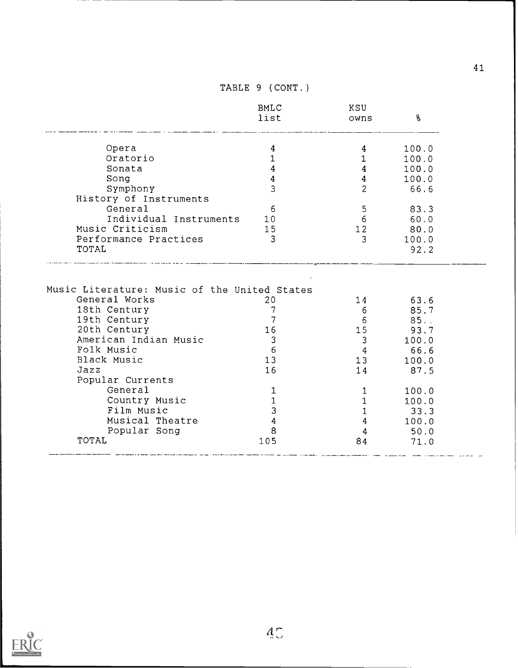|                                                                                               | <b>BMLC</b><br>list                     | KSU<br>owns                    | န္                  |
|-----------------------------------------------------------------------------------------------|-----------------------------------------|--------------------------------|---------------------|
| Opera                                                                                         | 4                                       | 4                              | 100.0               |
| Oratorio                                                                                      | $\mathbf{1}$                            | $\mathbf{1}$                   | 100.0               |
| Sonata                                                                                        | $\overline{4}$                          | $\overline{4}$                 | 100.0               |
| Song                                                                                          | $\overline{4}$                          | $\overline{4}$                 | 100.0               |
| Symphony                                                                                      | $\overline{3}$                          | $\overline{2}$                 | 66.6                |
| History of Instruments                                                                        |                                         |                                |                     |
| General                                                                                       | 6                                       | 5                              | 83.3                |
| Individual Instruments                                                                        | 10                                      | 6 <sup>1</sup>                 | 60.0                |
| Music Criticism                                                                               | 15                                      | 12                             | 80.0                |
| Performance Practices                                                                         | 3                                       | $\mathfrak{Z}$                 | 100.0               |
| TOTAL                                                                                         |                                         |                                | 92.2                |
|                                                                                               |                                         |                                |                     |
| Music Literature: Music of the United States<br>General Works<br>18th Century<br>19th Century | 20<br>$7\phantom{.0}$<br>$\overline{7}$ | 14<br>6 <sup>1</sup><br>6      | 63.6<br>85.7<br>85. |
| 20th Century                                                                                  | 16                                      | 15                             | 93.7                |
| American Indian Music                                                                         | $\mathbf{3}$                            | 3                              | 100.0               |
| Folk Music                                                                                    | $6\overline{6}$                         | 4                              | 66.6                |
| Black Music                                                                                   | 13                                      | 13 <sup>°</sup>                | 100.0               |
| Jazz                                                                                          | 16                                      | 14                             | 87.5                |
| Popular Currents<br>General                                                                   |                                         |                                |                     |
|                                                                                               | 1                                       | $\mathbf{1}$                   | 100.0               |
| Country Music<br>Film Music                                                                   | $\mathbf 1$                             | $\mathbf{1}$                   | 100.0               |
| Musical Theatre                                                                               | $\mathbf{3}$<br>$\overline{4}$          | $\mathbf{1}$<br>$\overline{4}$ | 33.3<br>100.0       |
| Popular Song                                                                                  | 8                                       | $\overline{4}$                 | 50.0                |

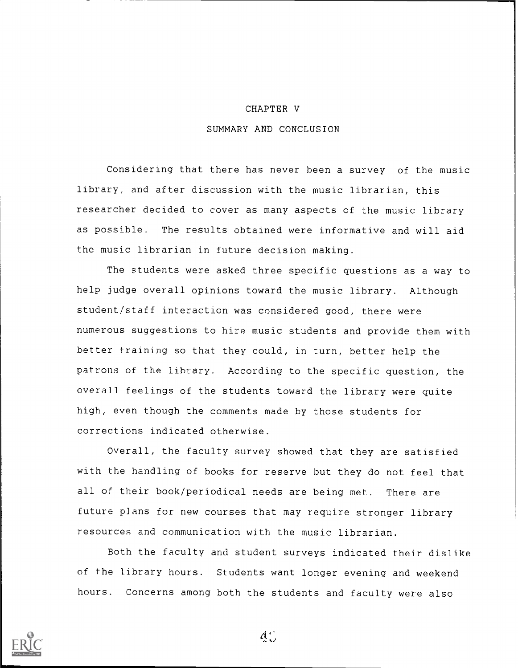#### CHAPTER V

#### SUMMARY AND CONCLUSION

Considering that there has never been a survey of the music library, and after discussion with the music librarian, this researcher decided to cover as many aspects of the music library as possible. The results obtained were informative and will aid the music librarian in future decision making.

The students were asked three specific questions as a way to help judge overall opinions toward the music library. Although student/staff interaction was considered good, there were numerous suggestions to hire music students and provide them with better training so that they could, in turn, better help the patrons of the library. According to the specific question, the overall feelings of the students toward the library were quite high, even though the comments made by those students for corrections indicated otherwise.

Overall, the faculty survey showed that they are satisfied with the handling of books for reserve but they do not feel that all of their book/periodical needs are being met. There are future plans for new courses that may require stronger library resources and communication with the music librarian.

Both the faculty and student surveys indicated their dislike of the library hours. Students want longer evening and weekend hours. Concerns among both the students and faculty were also



 $d_{\infty}$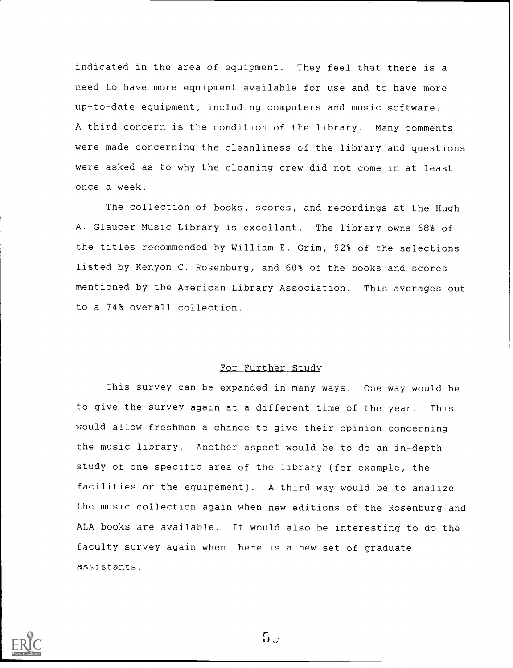indicated in the area of equipment. They feel that there is a need to have more equipment available for use and to have more up-to-date equipment, including computers and music software. A third concern is the condition of the library. Many comments were made concerning the cleanliness of the library and questions were asked as to why the cleaning crew did not come in at least once a week.

The collection of books, scores, and recordings at the Hugh A. Glaucer Music Library is excellant. The library owns 68% of the titles recommended by William E. Grim, 92% of the selections listed by Kenyon C. Rosenburg, and 60% of the books and scores mentioned by the American Library Association. This averages out to a 74% overall collection.

#### For Further Study

This survey can be expanded in many ways. One way would be to give the survey again at a different time of the year. This would allow freshmen a chance to give their opinion concerning the music library. Another aspect would be to do an in-depth study of one specific area of the library (for example, the facilities or the equipement). A third way would be to analize the music collection again when new editions of the Rosenburg and ALA books are available. It would also be interesting to do the faculty survey again when there is a new set of graduate assistants.



 $5.7$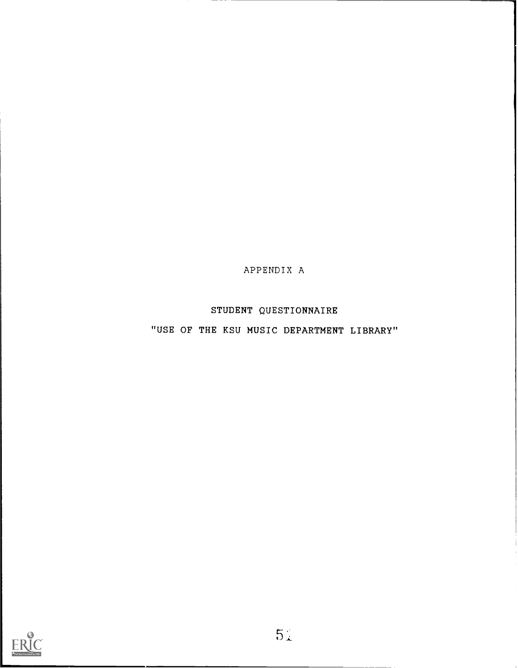APPENDIX A

STUDENT QUESTIONNAIRE

"USE OF THE KSU MUSIC DEPARTMENT LIBRARY"

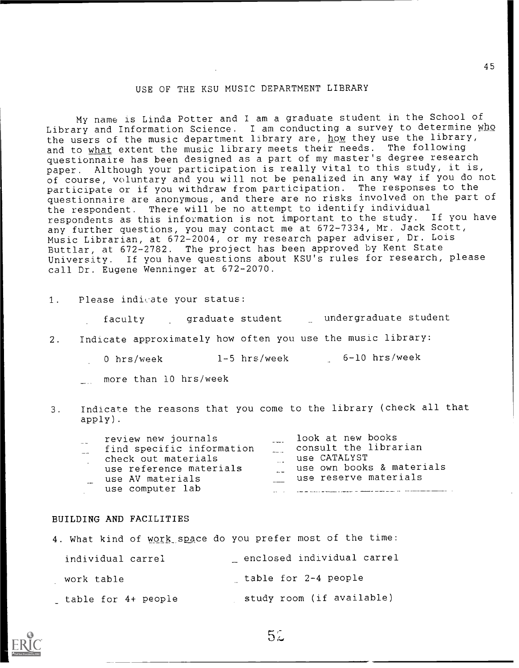## USE OF THE KSU MUSIC DEPARTMENT LIBRARY

My name is Linda Potter and I am a graduate student in the School of Library and Information Science. I am conducting a survey to determine who the users of the music department library are, how they use the library,<br>and to what extent the music library meets their needs. The following and to what extent the music library meets their needs. questionnaire has been designed as a part of my master's degree research paper. Although your participation is really vital to this study, it is, of course, voluntary and you will not be penalized in any way if you do not participate or if you withdraw from participation. The responses to the questionnaire are anonymous, and there are no risks involved on the part of the respondent. There will be no attempt to identify individual respondents as this information is not important to the study. If you have any further questions, you may contact me at 672-7334, Mr. Jack Scott, Music Librarian, at 672-2004, or my research paper adviser, Dr. Lois Buttlar, at 672-2782. The project has been approved by Kent State University. If you have questions about KSU's rules for research, please call Dr. Eugene Wenninger at 672-2070.

1. Please indicate your status:

faculty graduate student undergraduate student

- 2. Indicate approximately how often you use the music library:
	- 0 hrs/week 1-5 hrs/week 6-10 hrs/week
	- more than 10 hrs/week
- 3. Indicate the reasons that you come to the library (check all that apply).

| $- -$<br>$- - -$ | review new journals<br>find specific information<br>check out materials<br>use reference materials | look at new books<br>consult the librarian<br>use CATALYST<br>use own books & materials |
|------------------|----------------------------------------------------------------------------------------------------|-----------------------------------------------------------------------------------------|
|                  | use AV materials                                                                                   | use reserve materials                                                                   |
|                  | use computer lab                                                                                   |                                                                                         |

#### BUILDING AND FACILITIES

|                     | 4. What kind of work space do you prefer most of the time: |  |
|---------------------|------------------------------------------------------------|--|
| individual carrel   | enclosed individual carrel                                 |  |
| work table          | table for 2-4 people                                       |  |
| table for 4+ people | study room (if available)                                  |  |



52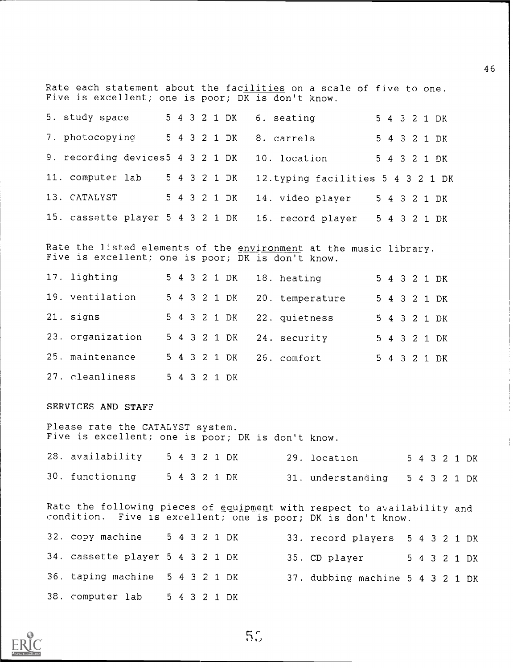Rate each statement about the <u>facilities</u> on a scale of five to one. Five is excellent; one is poor; DK is don't know.

| 5. study space                                |  |  |              | 5 4 3 2 1 DK 6. seating<br>5 4 3 2 1 DK                            |  |
|-----------------------------------------------|--|--|--------------|--------------------------------------------------------------------|--|
| 7. photocopying                               |  |  |              | 5 4 3 2 1 DK 8. carrels<br>5 4 3 2 1 DK                            |  |
| 9. recording devices5 4 3 2 1 DK 10. location |  |  |              | 5 4 3 2 1 DK                                                       |  |
| 11. computer lab                              |  |  | 5 4 3 2 1 DK | 12. typing facilities 5 4 3 2 1 DK                                 |  |
| 13. CATALYST                                  |  |  |              | 5 4 3 2 1 DK 14. video player<br>5 4 3 2 1 DK                      |  |
|                                               |  |  |              | 15. cassette player 5 4 3 2 1 DK 16. record player<br>5 4 3 2 1 DK |  |

Rate the listed elements of the <u>environment</u> at the music library. Five is excellent; one is poor; DK is don't know.

| 17. lighting     |  |  |              | 5 4 3 2 1 DK 18. heating |  |  | 5 4 3 2 1 DK |
|------------------|--|--|--------------|--------------------------|--|--|--------------|
| 19. ventilation  |  |  | 5 4 3 2 1 DK | 20. temperature          |  |  | 5 4 3 2 1 DK |
| 21. signs        |  |  | 5 4 3 2 1 DK | 22. quietness            |  |  | 5 4 3 2 1 DK |
| 23. organization |  |  | 5 4 3 2 1 DK | 24. security             |  |  | 5 4 3 2 1 DK |
| 25. maintenance  |  |  | 5 4 3 2 1 DK | 26. comfort              |  |  | 5 4 3 2 1 DK |
| 27. cleanliness  |  |  | 5 4 3 2 1 DK |                          |  |  |              |

SERVICES AND STAFF

Please rate the CATALYST system. Five is excellent; one is poor; DK is don't know. 28. availability  $5 \times 4 = 3.2 \times 1$  DK  $29.$  location  $5 \times 4 = 2.2 \times 1$  DK

| 20. availabliity - 0 4 3 2 1 DN |  |  |              | zy. location                   |  |  | D 4 3 2 1 DK |
|---------------------------------|--|--|--------------|--------------------------------|--|--|--------------|
| 30. functioning                 |  |  | 5 4 3 2 1 DK | 31. understanding 5 4 3 2 1 DK |  |  |              |

Rate the following pieces of equipment with respect to availability and condition. Five is excellent; one is poor; DK is don't know.

| 32. copy machine                 |  |  | 5 4 3 2 1 DK | 33. record players 5 4 3 2 1 DK  |  |  |  |
|----------------------------------|--|--|--------------|----------------------------------|--|--|--|
| 34. cassette player 5 4 3 2 1 DK |  |  |              | 35. CD player 5 4 3 2 1 DK       |  |  |  |
| 36. taping machine 5 4 3 2 1 DK  |  |  |              | 37. dubbing machine 5 4 3 2 1 DK |  |  |  |
| 38. computer lab 5 4 3 2 1 DK    |  |  |              |                                  |  |  |  |



 $5<sub>o</sub>$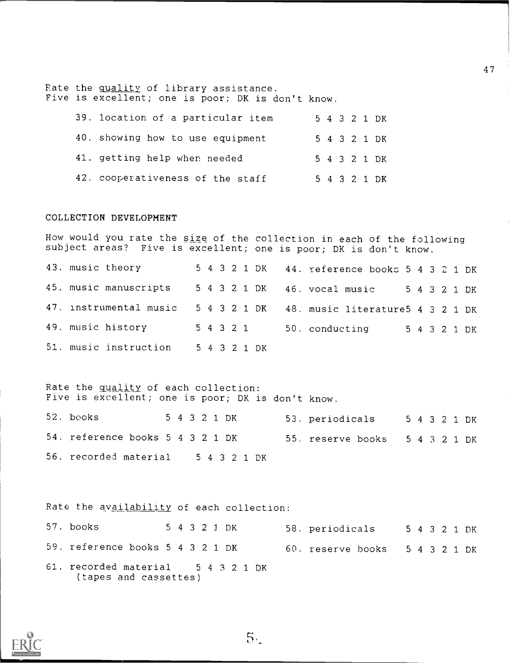Rate the quality of library assistance. Five is excellent; one is poor; DK is don't know.

| 39. location of a particular item |  |  | 5 4 3 2 1 DK |
|-----------------------------------|--|--|--------------|
| 40. showing how to use equipment  |  |  | 5 4 3 2 1 DK |
| 41. getting help when needed      |  |  | 5 4 3 2 1 DK |
| 42. cooperativeness of the staff  |  |  | 5 4 3 2 1 DK |

#### COLLECTION DEVELOPMENT

How would you rate the size of the collection in each of the following subject areas? Five is excellent; one is poor; DK is don't know.

43. music theory <sup>5</sup> <sup>4</sup> <sup>3</sup> <sup>2</sup> <sup>1</sup> DK 44. reference books <sup>5</sup> <sup>4</sup> <sup>3</sup> <sup>2</sup> <sup>1</sup> DK 45. music manuscripts <sup>5</sup> <sup>4</sup> <sup>3</sup> <sup>2</sup> <sup>1</sup> DK 46. vocal music <sup>5</sup> <sup>4</sup> <sup>3</sup> <sup>2</sup> <sup>1</sup> DK 47. instrumental music <sup>5</sup> <sup>4</sup> <sup>3</sup> <sup>2</sup> <sup>1</sup> DK 48. music literature5 <sup>4</sup> <sup>3</sup> <sup>2</sup> <sup>1</sup> DK 49. music history <sup>5</sup> <sup>4</sup> <sup>3</sup> <sup>2</sup> <sup>1</sup> 50. conducting <sup>5</sup> <sup>4</sup> <sup>3</sup> <sup>2</sup> <sup>1</sup> DK 51. music instruction <sup>5</sup> <sup>4</sup> <sup>3</sup> <sup>2</sup> <sup>1</sup> DK

Rate the quality of each collection: Five is excellent; one is poor; DK is don't know.

| 52. books                          |  |  | 5 4 3 2 1 DK | 53. periodicals<br>54321DK     |  |  |  |
|------------------------------------|--|--|--------------|--------------------------------|--|--|--|
| 54. reference books 5 4 3 2 1 DK   |  |  |              | 55. reserve books 5 4 3 2 1 DK |  |  |  |
| 56. recorded material 5 4 3 2 1 DK |  |  |              |                                |  |  |  |

Rate the availability of each collection:

| 57. books                                                   |  |  | 5 4 3 2 1 DK | 58. periodicals<br>5 4 3 2 1 DK |  |  |  |
|-------------------------------------------------------------|--|--|--------------|---------------------------------|--|--|--|
| 59. reference books 5 4 3 2 1 DK                            |  |  |              | 60. reserve books 5 4 3 2 1 DK  |  |  |  |
| 61. recorded material 5 4 3 2 1 DK<br>(tapes and cassettes) |  |  |              |                                 |  |  |  |



 $5.$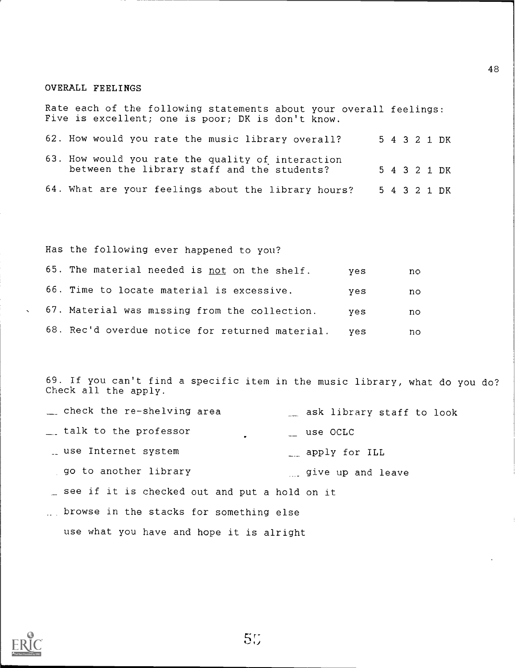#### OVERALL FEELINGS

Rate each of the following statements about your overall feelings: Five is excellent; one is poor; DK is don't know.

62. How would you rate the music library overall? 5 4 3 2 1 DK

63. How would you rate the quality of interaction<br>between the library staff and the students? 54321 DK between the library staff and the students? 64. What are your feelings about the library hours? <sup>5</sup> 4 3 2 1 DK

Has the following ever happened to you?

| 65. The material needed is not on the shelf.        | ves | no. |
|-----------------------------------------------------|-----|-----|
| 66. Time to locate material is excessive.           | yes | no. |
| 67. Material was missing from the collection.       | ves | no. |
| 68. Rec'd overdue notice for returned material. yes |     | no  |

69. If you can't find a specific item in the music library, what do you do? Check all the apply.

- check the re-shelving area ask library staff to look where talk to the professor the set of the set of the set of the set of the set of the set of the set of the s apply for ILL use Internet system and the control of the series of the series of  $\mathbb{L}$ go to another library and some pair and leave see if it is checked out and put a hold on it browse in the stacks for something else
- use what you have and hope it is alright



55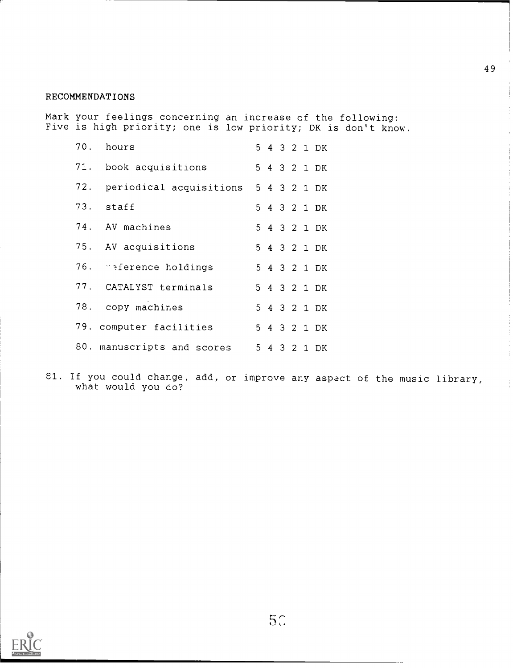## RECOMMENDATIONS

Mark your feelings concerning an increase of the following: Five is high priority; one is low priority; DK is don't know.

| 70. hours                                |  |  | 5 4 3 2 1 DK |
|------------------------------------------|--|--|--------------|
| 71. book acquisitions                    |  |  | 5 4 3 2 1 DK |
| 72. periodical acquisitions 5 4 3 2 1 DK |  |  |              |
| 73. staff                                |  |  | 5 4 3 2 1 DK |
| 74. AV machines                          |  |  | 5 4 3 2 1 DK |
| 75. AV acquisitions                      |  |  | 5 4 3 2 1 DK |
| 76. Saference holdings                   |  |  | 5 4 3 2 1 DK |
| 77. CATALYST terminals                   |  |  | 5 4 3 2 1 DK |
| 78. copy machines                        |  |  | 5 4 3 2 1 DK |
| 79. computer facilities                  |  |  | 5 4 3 2 1 DK |
| 80. manuscripts and scores               |  |  | 5 4 3 2 1 DK |

81. If you could change, add, or improve any aspect of the music library, what would you do?



 $5C$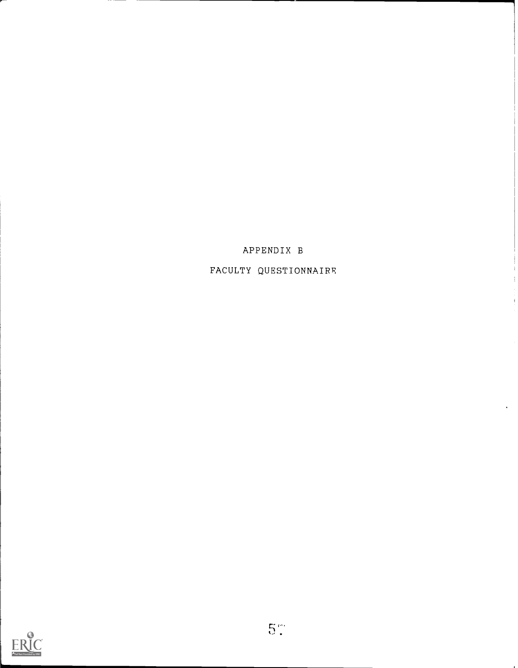

FACULTY QUESTIONNAIRE

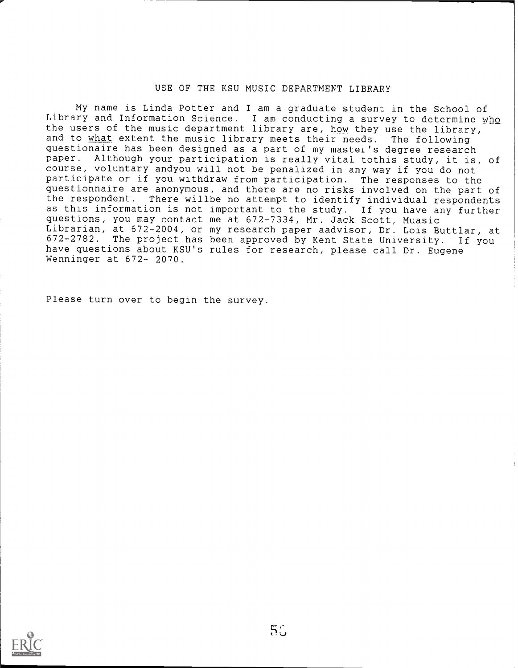#### USE OF THE KSU MUSIC DEPARTMENT LIBRARY

My name is Linda Potter and I am a graduate student in the School of Library and Information Science. I am conducting a survey to determine who the users of the music department library are, how they use the library, and to what extent the music library meets their needs. The following questionaire has been designed as a part of my mastei's degree research paper. Although your participation is really vital tothis study, it is, of course, voluntary andyou will not be penalized in any way if you do not participate or if you withdraw from participation. The responses to the questionnaire are anonymous, and there are no risks involved on the part of the respondent. There willbe no attempt to identify individual respondents as this information is not important to the study. If you have any further questions, you may contact me at 672-7334, Mr. Jack Scott, Muasic Librarian, at 672-2004, or my research paper aadvisor, Dr. Lois Buttlar, at 672-2782. The project has been approved by Kent State University. If you have questions about KSU's rules for research, please call Dr. Eugene Wenninger at 672- 2070.

Please turn over to begin the survey.

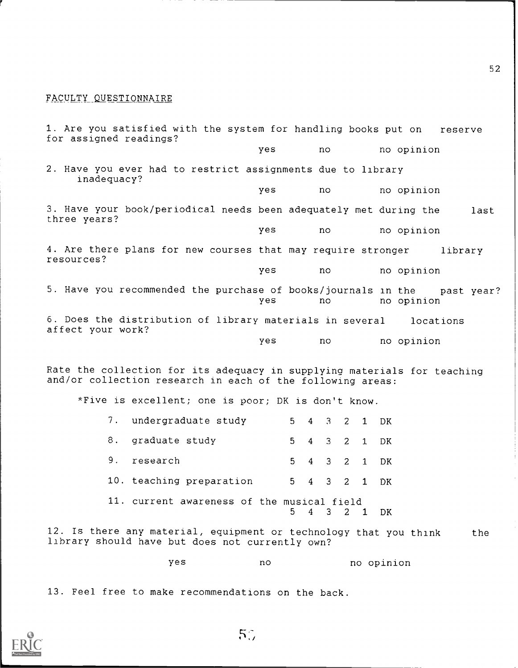#### FACULTY QUESTIONNAIRE

1. Are you satisfied with the system for handling books put on reserve for assigned readings? yes no no opinion 2. Have you ever had to restrict assignments due to library inadequacy? yes no no opinion 3. Have your book/periodical needs been adequately met during the last three years? yes no no opinion 4. Are there plans for new courses that may require stronger library resources? yes no no opinion 5. Have you recommended the purchase of books/journals in the past year? yes no no opinion 6. Does the distribution of library materials in several locations affect your work? yes no no opinion Rate the collection for its adequacy in supplying materials for teaching and/or collection research in each of the following areas: \*Five is excellent; one is poor; DK is don't know.  $7$  undergraduate study 5  $4$  3  $2$  1 DK

| andergraduate stuur                        |  |  | $J \leftarrow 4$ $J \leftarrow 2$ $I \leftarrow D N$ |
|--------------------------------------------|--|--|------------------------------------------------------|
| 8. graduate study                          |  |  | 5 4 3 2 1 DK                                         |
| 9. research                                |  |  | 5 4 3 2 1 DK                                         |
| 10. teaching preparation                   |  |  | 5 4 3 2 1 DK                                         |
| 11. current awareness of the musical field |  |  | 5 4 3 2 1 DK                                         |

12. Is there any material, equipment or technology that you think the library should have but does not currently own?

yes no no opinion

13. Feel free to make recommendations on the back.

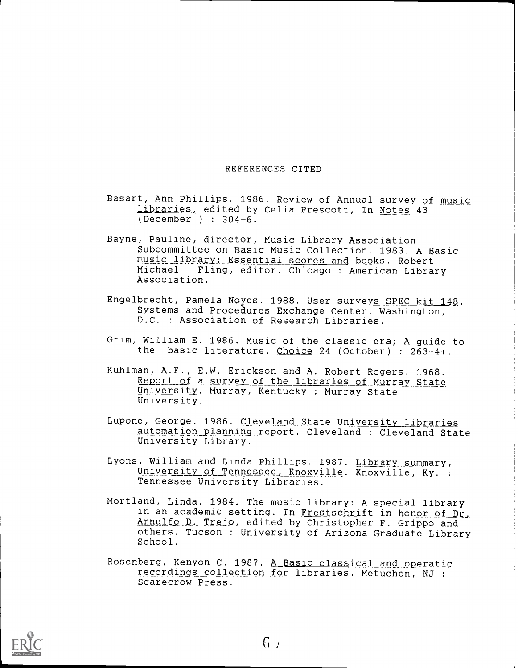#### REFERENCES CITED

Basart, Ann Phillips. 1986. Review of Annual survey of music libraries, edited by Celia Prescott, In Notes 43 (December ) : 304-6.

4;

- Bayne, Pauline, director, Music Library Association Subcommittee on Basic Music Collection. 1983. A Basic music library: Essential scores and books. Robert<br>Michael Fling, editor, Chicago : American Librar Fling, editor. Chicago : American Library Association.
- Engelbrecht, Pamela Noyes. 1988. User surveys SPEC kit 148. Systems and Procedures Exchange Center. Washington, D.C. : Association of Research Libraries.
- Grim, William E. 1986. Music of the classic era; A guide to the basic literature. Choice 24 (October) : 263-4+.
- Kuhlman, A.F., E.W. Erickson and A. Robert Rogers. 1968. Report of a survey of the libraries of Murray State University. Murray, Kentucky : Murray State University.
- Lupone, George. 1986. Cleveland State University libraries automation planning report. Cleveland : Cleveland State University Library.
- Lyons, William and Linda Phillips. 1987. Library summary, University of Tennessee, Knoxville. Knoxville, Ky. : Tennessee University Libraries.
- Mortland, Linda. 1984. The music library: A special library in an academic setting. In Frestschrift in honor of Dr, Arnulfo D. Trejo, edited by Christopher F. Grippo and others. Tucson : University of Arizona Graduate Library School.
- Rosenberg, Kenyon C. 1987. A Basic classical and operatic recordings collection for libraries. Metuchen, NJ : Scarecrow Press.